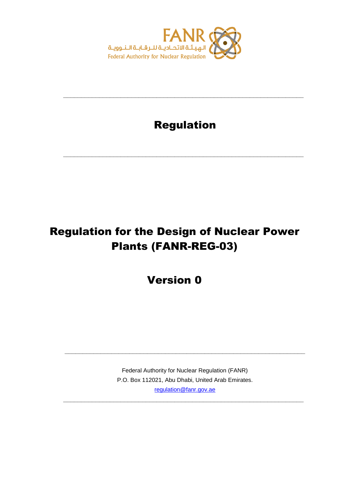

# Regulation

**\_\_\_\_\_\_\_\_\_\_\_\_\_\_\_\_\_\_\_\_\_\_\_\_\_\_\_\_\_\_\_\_\_\_\_\_\_\_\_\_\_\_\_\_\_\_\_\_\_\_\_\_\_\_\_\_\_\_\_\_\_\_\_\_\_\_\_**

**\_\_\_\_\_\_\_\_\_\_\_\_\_\_\_\_\_\_\_\_\_\_\_\_\_\_\_\_\_\_\_\_\_\_\_\_\_\_\_\_\_\_\_\_\_\_\_\_\_\_\_\_\_\_\_\_\_\_\_\_\_\_\_\_\_\_\_**

# Regulation for the Design of Nuclear Power Plants (FANR-REG-03)

Version 0

Federal Authority for Nuclear Regulation (FANR) P.O. Box 112021, Abu Dhabi, United Arab Emirates. [regulation@fanr.gov.ae](http://www.fanr.gov.ae/)

**\_\_\_\_\_\_\_\_\_\_\_\_\_\_\_\_\_\_\_\_\_\_\_\_\_\_\_\_\_\_\_\_\_\_\_\_\_\_\_\_\_\_\_\_\_\_\_\_\_\_\_\_\_\_\_\_\_\_\_\_\_\_\_\_\_\_\_**

**\_\_\_\_\_\_\_\_\_\_\_\_\_\_\_\_\_\_\_\_\_\_\_\_\_\_\_\_\_\_\_\_\_\_\_\_\_\_\_\_\_\_\_\_\_\_\_\_\_\_\_\_\_\_\_\_\_\_\_\_\_\_\_\_\_\_\_**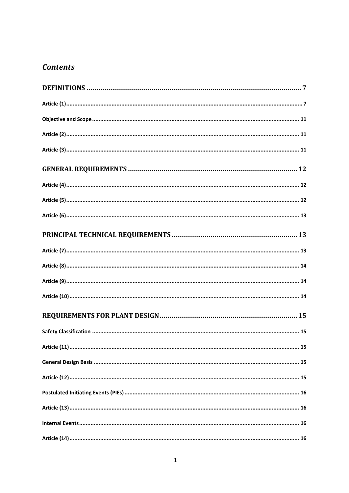# **Contents**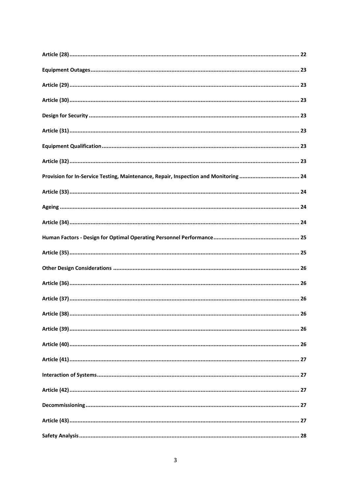| Provision for In-Service Testing, Maintenance, Repair, Inspection and Monitoring  24 |  |
|--------------------------------------------------------------------------------------|--|
|                                                                                      |  |
|                                                                                      |  |
|                                                                                      |  |
|                                                                                      |  |
|                                                                                      |  |
|                                                                                      |  |
|                                                                                      |  |
|                                                                                      |  |
|                                                                                      |  |
|                                                                                      |  |
|                                                                                      |  |
|                                                                                      |  |
|                                                                                      |  |
|                                                                                      |  |
|                                                                                      |  |
|                                                                                      |  |
|                                                                                      |  |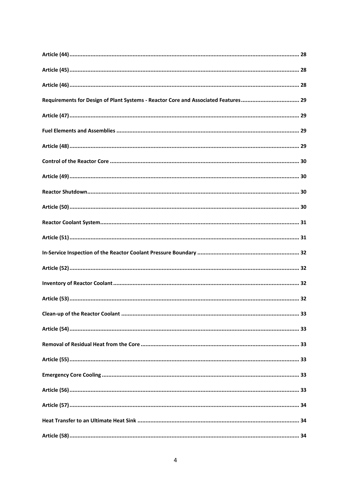| Requirements for Design of Plant Systems - Reactor Core and Associated Features 29 |  |
|------------------------------------------------------------------------------------|--|
|                                                                                    |  |
|                                                                                    |  |
|                                                                                    |  |
|                                                                                    |  |
|                                                                                    |  |
|                                                                                    |  |
|                                                                                    |  |
|                                                                                    |  |
|                                                                                    |  |
|                                                                                    |  |
|                                                                                    |  |
|                                                                                    |  |
|                                                                                    |  |
|                                                                                    |  |
|                                                                                    |  |
|                                                                                    |  |
|                                                                                    |  |
|                                                                                    |  |
|                                                                                    |  |
|                                                                                    |  |
|                                                                                    |  |
|                                                                                    |  |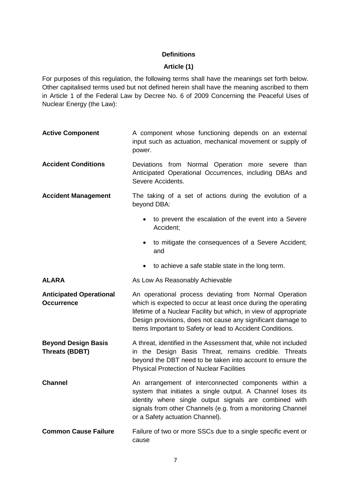# **Definitions**

# **Article (1)**

<span id="page-7-1"></span><span id="page-7-0"></span>For purposes of this regulation, the following terms shall have the meanings set forth below. Other capitalised terms used but not defined herein shall have the meaning ascribed to them in Article 1 of the Federal Law by Decree No. 6 of 2009 Concerning the Peaceful Uses of Nuclear Energy (the Law):

| <b>Active Component</b>                             | A component whose functioning depends on an external<br>input such as actuation, mechanical movement or supply of<br>power.                                                                                                                                                                                             |
|-----------------------------------------------------|-------------------------------------------------------------------------------------------------------------------------------------------------------------------------------------------------------------------------------------------------------------------------------------------------------------------------|
| <b>Accident Conditions</b>                          | Deviations from Normal Operation more severe<br>than<br>Anticipated Operational Occurrences, including DBAs and<br>Severe Accidents.                                                                                                                                                                                    |
| <b>Accident Management</b>                          | The taking of a set of actions during the evolution of a<br>beyond DBA:                                                                                                                                                                                                                                                 |
|                                                     | to prevent the escalation of the event into a Severe<br>$\bullet$<br>Accident;                                                                                                                                                                                                                                          |
|                                                     | • to mitigate the consequences of a Severe Accident;<br>and                                                                                                                                                                                                                                                             |
|                                                     | to achieve a safe stable state in the long term.                                                                                                                                                                                                                                                                        |
| <b>ALARA</b>                                        | As Low As Reasonably Achievable                                                                                                                                                                                                                                                                                         |
| <b>Anticipated Operational</b><br><b>Occurrence</b> | An operational process deviating from Normal Operation<br>which is expected to occur at least once during the operating<br>lifetime of a Nuclear Facility but which, in view of appropriate<br>Design provisions, does not cause any significant damage to<br>Items Important to Safety or lead to Accident Conditions. |
| <b>Beyond Design Basis</b><br><b>Threats (BDBT)</b> | A threat, identified in the Assessment that, while not included<br>in the Design Basis Threat, remains credible. Threats<br>beyond the DBT need to be taken into account to ensure the<br><b>Physical Protection of Nuclear Facilities</b>                                                                              |
| <b>Channel</b>                                      | An arrangement of interconnected components within a<br>system that initiates a single output. A Channel loses its<br>identity where single output signals are combined with<br>signals from other Channels (e.g. from a monitoring Channel<br>or a Safety actuation Channel).                                          |
| <b>Common Cause Failure</b>                         | Failure of two or more SSCs due to a single specific event or<br>cause                                                                                                                                                                                                                                                  |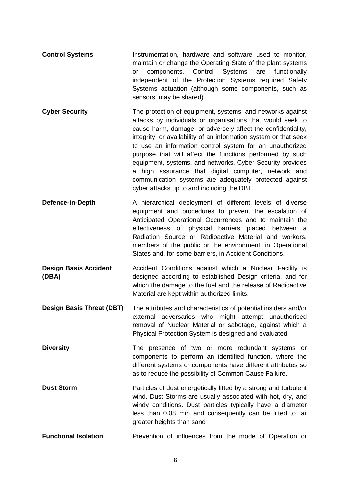- **Control Systems** Instrumentation, hardware and software used to monitor, maintain or change the Operating State of the plant systems or components. Control Systems are functionally independent of the Protection Systems required Safety Systems actuation (although some components, such as sensors, may be shared).
- **Cyber Security** The protection of equipment, systems, and networks against attacks by individuals or organisations that would seek to cause harm, damage, or adversely affect the confidentiality, integrity, or availability of an information system or that seek to use an information control system for an unauthorized purpose that will affect the functions performed by such equipment, systems, and networks. Cyber Security provides a high assurance that digital computer, network and communication systems are adequately protected against cyber attacks up to and including the DBT.
- **Defence-in-Depth** A hierarchical deployment of different levels of diverse equipment and procedures to prevent the escalation of Anticipated Operational Occurrences and to maintain the effectiveness of physical barriers placed between a Radiation Source or Radioactive Material and workers, members of the public or the environment, in Operational States and, for some barriers, in Accident Conditions.
- **Design Basis Accident (DBA)** Accident Conditions against which a Nuclear Facility is designed according to established Design criteria, and for which the damage to the fuel and the release of Radioactive Material are kept within authorized limits.
- **Design Basis Threat (DBT)** The attributes and characteristics of potential insiders and/or external adversaries who might attempt unauthorised removal of Nuclear Material or sabotage, against which a Physical Protection System is designed and evaluated.
- **Diversity** The presence of two or more redundant systems or components to perform an identified function, where the different systems or components have different attributes so as to reduce the possibility of Common Cause Failure.
- **Dust Storm Particles of dust energetically lifted by a strong and turbulent** wind. Dust Storms are usually associated with hot, dry, and windy conditions. Dust particles typically have a diameter less than 0.08 mm and consequently can be lifted to far greater heights than sand
- **Functional Isolation** Prevention of influences from the mode of Operation or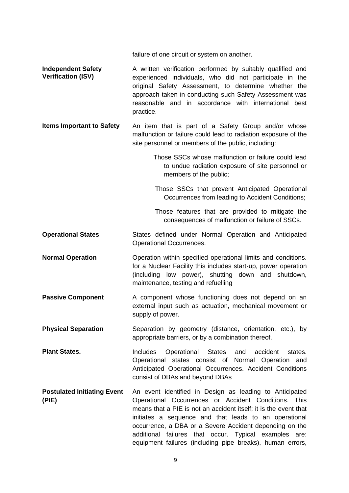failure of one circuit or system on another.

- **Independent Safety Verification (ISV)** A written verification performed by suitably qualified and experienced individuals, who did not participate in the original Safety Assessment, to determine whether the approach taken in conducting such Safety Assessment was reasonable and in accordance with international best practice.
- **Items Important to Safety** An item that is part of a Safety Group and/or whose malfunction or failure could lead to radiation exposure of the site personnel or members of the public, including:
	- Those SSCs whose malfunction or failure could lead to undue radiation exposure of site personnel or members of the public;
	- Those SSCs that prevent Anticipated Operational Occurrences from leading to Accident Conditions;

Those features that are provided to mitigate the consequences of malfunction or failure of SSCs.

- **Operational States** States defined under Normal Operation and Anticipated Operational Occurrences.
- **Normal Operation Operation** Operation within specified operational limits and conditions. for a Nuclear Facility this includes start-up, power operation (including low power), shutting down and shutdown, maintenance, testing and refuelling
- **Passive Component** A component whose functioning does not depend on an external input such as actuation, mechanical movement or supply of power.
- **Physical Separation** Separation by geometry (distance, orientation, etc.), by appropriate barriers, or by a combination thereof.

**Plant States.** Includes Operational States and accident states. Operational states consist of Normal Operation and Anticipated Operational Occurrences. Accident Conditions consist of DBAs and beyond DBAs

**Postulated Initiating Event (PIE)** An event identified in Design as leading to Anticipated Operational Occurrences or Accident Conditions. This means that a PIE is not an accident itself; it is the event that initiates a sequence and that leads to an operational occurrence, a DBA or a Severe Accident depending on the additional failures that occur. Typical examples are: equipment failures (including pipe breaks), human errors,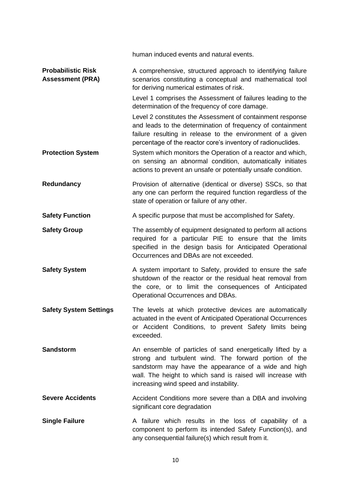human induced events and natural events. **Probabilistic Risk Assessment (PRA)** A comprehensive, structured approach to identifying failure scenarios constituting a conceptual and mathematical tool for deriving numerical estimates of risk. Level 1 comprises the Assessment of failures leading to the determination of the frequency of core damage. Level 2 constitutes the Assessment of containment response and leads to the determination of frequency of containment failure resulting in release to the environment of a given percentage of the reactor core"s inventory of radionuclides. **Protection System** System which monitors the Operation of a reactor and which, on sensing an abnormal condition, automatically initiates actions to prevent an unsafe or potentially unsafe condition. **Redundancy Provision of alternative (identical or diverse) SSCs, so that** any one can perform the required function regardless of the state of operation or failure of any other. **Safety Function** A specific purpose that must be accomplished for Safety. **Safety Group** The assembly of equipment designated to perform all actions required for a particular PIE to ensure that the limits specified in the design basis for Anticipated Operational Occurrences and DBAs are not exceeded. **Safety System** A system important to Safety, provided to ensure the safe shutdown of the reactor or the residual heat removal from the core, or to limit the consequences of Anticipated Operational Occurrences and DBAs. **Safety System Settings** The levels at which protective devices are automatically actuated in the event of Anticipated Operational Occurrences or Accident Conditions, to prevent Safety limits being exceeded. **Sandstorm An ensemble of particles of sand energetically lifted by a** strong and turbulent wind. The forward portion of the sandstorm may have the appearance of a wide and high wall. The height to which sand is raised will increase with increasing wind speed and instability. **Severe Accidents** Accident Conditions more severe than a DBA and involving significant core degradation **Single Failure A** failure which results in the loss of capability of a component to perform its intended Safety Function(s), and any consequential failure(s) which result from it.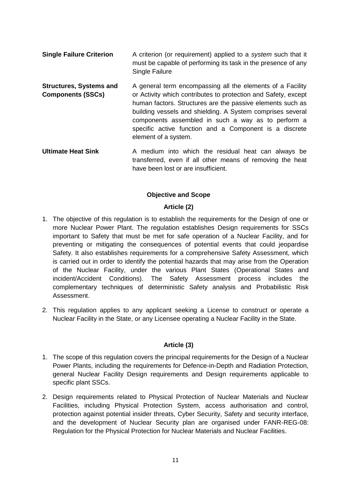- **Single Failure Criterion** A criterion (or requirement) applied to a *system* such that it must be capable of performing its task in the presence of any Single Failure
- **Structures, Systems and Components (SSCs)** A general term encompassing all the elements of a Facility or Activity which contributes to protection and Safety, except human factors. Structures are the passive elements such as building vessels and shielding. A System comprises several components assembled in such a way as to perform a specific active function and a Component is a discrete element of a system.
- **Ultimate Heat Sink** A medium into which the residual heat can always be transferred, even if all other means of removing the heat have been lost or are insufficient.

# **Objective and Scope**

# **Article (2)**

- <span id="page-11-1"></span><span id="page-11-0"></span>1. The objective of this regulation is to establish the requirements for the Design of one or more Nuclear Power Plant. The regulation establishes Design requirements for SSCs important to Safety that must be met for safe operation of a Nuclear Facility, and for preventing or mitigating the consequences of potential events that could jeopardise Safety. It also establishes requirements for a comprehensive Safety Assessment, which is carried out in order to identify the potential hazards that may arise from the Operation of the Nuclear Facility, under the various Plant States (Operational States and incident/Accident Conditions). The Safety Assessment process includes the complementary techniques of deterministic Safety analysis and Probabilistic Risk Assessment.
- 2. This regulation applies to any applicant seeking a License to construct or operate a Nuclear Facility in the State, or any Licensee operating a Nuclear Facility in the State.

# **Article (3)**

- <span id="page-11-2"></span>1. The scope of this regulation covers the principal requirements for the Design of a Nuclear Power Plants, including the requirements for Defence-in-Depth and Radiation Protection, general Nuclear Facility Design requirements and Design requirements applicable to specific plant SSCs.
- 2. Design requirements related to Physical Protection of Nuclear Materials and Nuclear Facilities, including Physical Protection System, access authorisation and control, protection against potential insider threats, Cyber Security, Safety and security interface, and the development of Nuclear Security plan are organised under FANR-REG-08: Regulation for the Physical Protection for Nuclear Materials and Nuclear Facilities.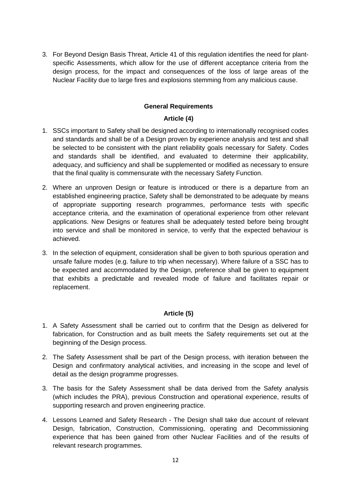3. For Beyond Design Basis Threat, Article 41 of this regulation identifies the need for plantspecific Assessments, which allow for the use of different acceptance criteria from the design process, for the impact and consequences of the loss of large areas of the Nuclear Facility due to large fires and explosions stemming from any malicious cause.

# **General Requirements**

# **Article (4)**

- <span id="page-12-1"></span><span id="page-12-0"></span>1. SSCs important to Safety shall be designed according to internationally recognised codes and standards and shall be of a Design proven by experience analysis and test and shall be selected to be consistent with the plant reliability goals necessary for Safety. Codes and standards shall be identified, and evaluated to determine their applicability, adequacy, and sufficiency and shall be supplemented or modified as necessary to ensure that the final quality is commensurate with the necessary Safety Function.
- 2. Where an unproven Design or feature is introduced or there is a departure from an established engineering practice, Safety shall be demonstrated to be adequate by means of appropriate supporting research programmes, performance tests with specific acceptance criteria, and the examination of operational experience from other relevant applications. New Designs or features shall be adequately tested before being brought into service and shall be monitored in service, to verify that the expected behaviour is achieved.
- 3. In the selection of equipment, consideration shall be given to both spurious operation and unsafe failure modes (e.g. failure to trip when necessary). Where failure of a SSC has to be expected and accommodated by the Design, preference shall be given to equipment that exhibits a predictable and revealed mode of failure and facilitates repair or replacement.

# **Article (5)**

- <span id="page-12-2"></span>1. A Safety Assessment shall be carried out to confirm that the Design as delivered for fabrication, for Construction and as built meets the Safety requirements set out at the beginning of the Design process.
- 2. The Safety Assessment shall be part of the Design process, with iteration between the Design and confirmatory analytical activities, and increasing in the scope and level of detail as the design programme progresses.
- 3. The basis for the Safety Assessment shall be data derived from the Safety analysis (which includes the PRA), previous Construction and operational experience, results of supporting research and proven engineering practice.
- 4. Lessons Learned and Safety Research The Design shall take due account of relevant Design, fabrication, Construction, Commissioning, operating and Decommissioning experience that has been gained from other Nuclear Facilities and of the results of relevant research programmes.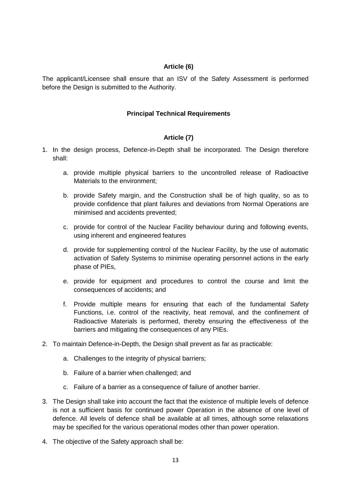#### **Article (6)**

<span id="page-13-1"></span><span id="page-13-0"></span>The applicant/Licensee shall ensure that an ISV of the Safety Assessment is performed before the Design is submitted to the Authority.

# **Principal Technical Requirements**

# **Article (7)**

- <span id="page-13-2"></span>1. In the design process, Defence-in-Depth shall be incorporated. The Design therefore shall:
	- a. provide multiple physical barriers to the uncontrolled release of Radioactive Materials to the environment;
	- b. provide Safety margin, and the Construction shall be of high quality, so as to provide confidence that plant failures and deviations from Normal Operations are minimised and accidents prevented;
	- c. provide for control of the Nuclear Facility behaviour during and following events, using inherent and engineered features
	- d. provide for supplementing control of the Nuclear Facility, by the use of automatic activation of Safety Systems to minimise operating personnel actions in the early phase of PIEs,
	- e. provide for equipment and procedures to control the course and limit the consequences of accidents; and
	- f. Provide multiple means for ensuring that each of the fundamental Safety Functions, i.e. control of the reactivity, heat removal, and the confinement of Radioactive Materials is performed, thereby ensuring the effectiveness of the barriers and mitigating the consequences of any PIEs.
- 2. To maintain Defence-in-Depth, the Design shall prevent as far as practicable:
	- a. Challenges to the integrity of physical barriers;
	- b. Failure of a barrier when challenged; and
	- c. Failure of a barrier as a consequence of failure of another barrier.
- 3. The Design shall take into account the fact that the existence of multiple levels of defence is not a sufficient basis for continued power Operation in the absence of one level of defence. All levels of defence shall be available at all times, although some relaxations may be specified for the various operational modes other than power operation.
- 4. The objective of the Safety approach shall be: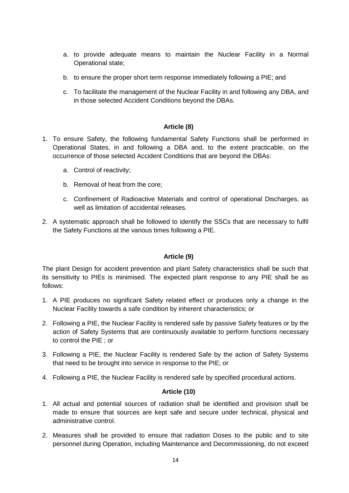- a. to provide adequate means to maintain the Nuclear Facility in a Normal Operational state;
- b. to ensure the proper short term response immediately following a PIE; and
- c. To facilitate the management of the Nuclear Facility in and following any DBA, and in those selected Accident Conditions beyond the DBAs.

# **Article (8)**

- <span id="page-14-0"></span>1. To ensure Safety, the following fundamental Safety Functions shall be performed in Operational States, in and following a DBA and, to the extent practicable, on the occurrence of those selected Accident Conditions that are beyond the DBAs:
	- a. Control of reactivity;
	- b. Removal of heat from the core;
	- c. Confinement of Radioactive Materials and control of operational Discharges, as well as limitation of accidental releases.
- 2. A systematic approach shall be followed to identify the SSCs that are necessary to fulfil the Safety Functions at the various times following a PIE.

# **Article (9)**

<span id="page-14-1"></span>The plant Design for accident prevention and plant Safety characteristics shall be such that its sensitivity to PIEs is minimised. The expected plant response to any PIE shall be as follows:

- 1. A PIE produces no significant Safety related effect or produces only a change in the Nuclear Facility towards a safe condition by inherent characteristics; or
- 2. Following a PIE, the Nuclear Facility is rendered safe by passive Safety features or by the action of Safety Systems that are continuously available to perform functions necessary to control the PIE ; or
- 3. Following a PIE, the Nuclear Facility is rendered Safe by the action of Safety Systems that need to be brought into service in response to the PIE; or
- 4. Following a PIE, the Nuclear Facility is rendered safe by specified procedural actions.

# **Article (10)**

- <span id="page-14-2"></span>1. All actual and potential sources of radiation shall be identified and provision shall be made to ensure that sources are kept safe and secure under technical, physical and administrative control.
- 2. Measures shall be provided to ensure that radiation Doses to the public and to site personnel during Operation, including Maintenance and Decommissioning, do not exceed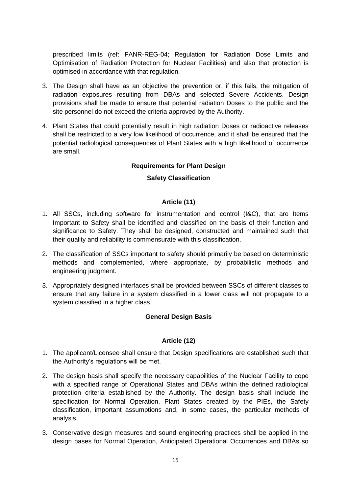prescribed limits (ref: FANR-REG-04; Regulation for Radiation Dose Limits and Optimisation of Radiation Protection for Nuclear Facilities) and also that protection is optimised in accordance with that regulation.

- 3. The Design shall have as an objective the prevention or, if this fails, the mitigation of radiation exposures resulting from DBAs and selected Severe Accidents. Design provisions shall be made to ensure that potential radiation Doses to the public and the site personnel do not exceed the criteria approved by the Authority.
- <span id="page-15-0"></span>4. Plant States that could potentially result in high radiation Doses or radioactive releases shall be restricted to a very low likelihood of occurrence, and it shall be ensured that the potential radiological consequences of Plant States with a high likelihood of occurrence are small.

# **Requirements for Plant Design**

# **Safety Classification**

# **Article (11)**

- <span id="page-15-2"></span><span id="page-15-1"></span>1. All SSCs, including software for instrumentation and control (I&C), that are Items Important to Safety shall be identified and classified on the basis of their function and significance to Safety. They shall be designed, constructed and maintained such that their quality and reliability is commensurate with this classification.
- 2. The classification of SSCs important to safety should primarily be based on deterministic methods and complemented, where appropriate, by probabilistic methods and engineering judgment.
- <span id="page-15-3"></span>3. Appropriately designed interfaces shall be provided between SSCs of different classes to ensure that any failure in a system classified in a lower class will not propagate to a system classified in a higher class.

# **General Design Basis**

# **Article (12)**

- <span id="page-15-4"></span>1. The applicant/Licensee shall ensure that Design specifications are established such that the Authority"s regulations will be met.
- 2. The design basis shall specify the necessary capabilities of the Nuclear Facility to cope with a specified range of Operational States and DBAs within the defined radiological protection criteria established by the Authority. The design basis shall include the specification for Normal Operation, Plant States created by the PIEs, the Safety classification, important assumptions and, in some cases, the particular methods of analysis.
- 3. Conservative design measures and sound engineering practices shall be applied in the design bases for Normal Operation, Anticipated Operational Occurrences and DBAs so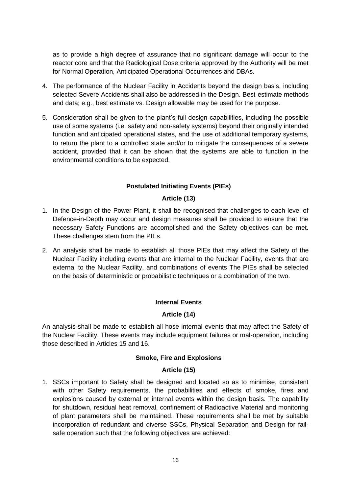as to provide a high degree of assurance that no significant damage will occur to the reactor core and that the Radiological Dose criteria approved by the Authority will be met for Normal Operation, Anticipated Operational Occurrences and DBAs.

- 4. The performance of the Nuclear Facility in Accidents beyond the design basis, including selected Severe Accidents shall also be addressed in the Design. Best-estimate methods and data; e.g., best estimate vs. Design allowable may be used for the purpose.
- 5. Consideration shall be given to the plant"s full design capabilities, including the possible use of some systems (i.e. safety and non-safety systems) beyond their originally intended function and anticipated operational states, and the use of additional temporary systems, to return the plant to a controlled state and/or to mitigate the consequences of a severe accident, provided that it can be shown that the systems are able to function in the environmental conditions to be expected.

# **Postulated Initiating Events (PIEs)**

# **Article (13)**

- <span id="page-16-1"></span><span id="page-16-0"></span>1. In the Design of the Power Plant, it shall be recognised that challenges to each level of Defence-in-Depth may occur and design measures shall be provided to ensure that the necessary Safety Functions are accomplished and the Safety objectives can be met. These challenges stem from the PIEs.
- 2. An analysis shall be made to establish all those PIEs that may affect the Safety of the Nuclear Facility including events that are internal to the Nuclear Facility, events that are external to the Nuclear Facility, and combinations of events The PIEs shall be selected on the basis of deterministic or probabilistic techniques or a combination of the two.

# **Internal Events**

# **Article (14)**

<span id="page-16-3"></span><span id="page-16-2"></span>An analysis shall be made to establish all hose internal events that may affect the Safety of the Nuclear Facility. These events may include equipment failures or mal-operation, including those described in Articles 15 and 16.

# **Smoke, Fire and Explosions**

# **Article (15)**

<span id="page-16-5"></span><span id="page-16-4"></span>1. SSCs important to Safety shall be designed and located so as to minimise, consistent with other Safety requirements, the probabilities and effects of smoke, fires and explosions caused by external or internal events within the design basis. The capability for shutdown, residual heat removal, confinement of Radioactive Material and monitoring of plant parameters shall be maintained. These requirements shall be met by suitable incorporation of redundant and diverse SSCs, Physical Separation and Design for failsafe operation such that the following objectives are achieved: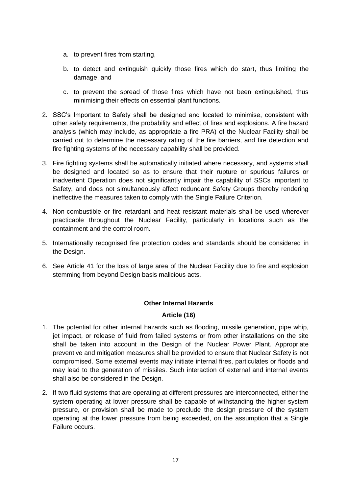- a. to prevent fires from starting,
- b. to detect and extinguish quickly those fires which do start, thus limiting the damage, and
- c. to prevent the spread of those fires which have not been extinguished, thus minimising their effects on essential plant functions.
- 2. SSC"s Important to Safety shall be designed and located to minimise, consistent with other safety requirements, the probability and effect of fires and explosions. A fire hazard analysis (which may include, as appropriate a fire PRA) of the Nuclear Facility shall be carried out to determine the necessary rating of the fire barriers, and fire detection and fire fighting systems of the necessary capability shall be provided.
- 3. Fire fighting systems shall be automatically initiated where necessary, and systems shall be designed and located so as to ensure that their rupture or spurious failures or inadvertent Operation does not significantly impair the capability of SSCs important to Safety, and does not simultaneously affect redundant Safety Groups thereby rendering ineffective the measures taken to comply with the Single Failure Criterion.
- 4. Non-combustible or fire retardant and heat resistant materials shall be used wherever practicable throughout the Nuclear Facility, particularly in locations such as the containment and the control room.
- 5. Internationally recognised fire protection codes and standards should be considered in the Design.
- 6. See Article 41 for the loss of large area of the Nuclear Facility due to fire and explosion stemming from beyond Design basis malicious acts.

# **Other Internal Hazards**

# **Article (16)**

- <span id="page-17-1"></span><span id="page-17-0"></span>1. The potential for other internal hazards such as flooding, missile generation, pipe whip, jet impact, or release of fluid from failed systems or from other installations on the site shall be taken into account in the Design of the Nuclear Power Plant. Appropriate preventive and mitigation measures shall be provided to ensure that Nuclear Safety is not compromised. Some external events may initiate internal fires, particulates or floods and may lead to the generation of missiles. Such interaction of external and internal events shall also be considered in the Design.
- 2. If two fluid systems that are operating at different pressures are interconnected, either the system operating at lower pressure shall be capable of withstanding the higher system pressure, or provision shall be made to preclude the design pressure of the system operating at the lower pressure from being exceeded, on the assumption that a Single Failure occurs.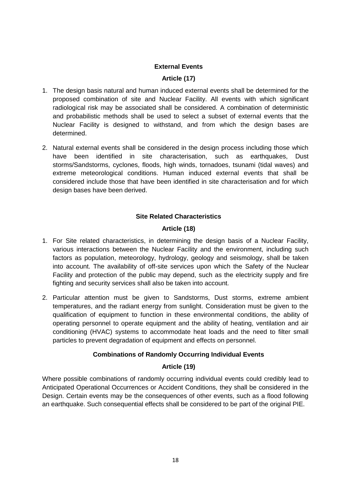# **External Events**

# **Article (17)**

- <span id="page-18-1"></span><span id="page-18-0"></span>1. The design basis natural and human induced external events shall be determined for the proposed combination of site and Nuclear Facility. All events with which significant radiological risk may be associated shall be considered. A combination of deterministic and probabilistic methods shall be used to select a subset of external events that the Nuclear Facility is designed to withstand, and from which the design bases are determined.
- 2. Natural external events shall be considered in the design process including those which have been identified in site characterisation, such as earthquakes, Dust storms/Sandstorms, cyclones, floods, high winds, tornadoes, tsunami (tidal waves) and extreme meteorological conditions. Human induced external events that shall be considered include those that have been identified in site characterisation and for which design bases have been derived.

# **Site Related Characteristics**

# **Article (18)**

- <span id="page-18-3"></span><span id="page-18-2"></span>1. For Site related characteristics, in determining the design basis of a Nuclear Facility, various interactions between the Nuclear Facility and the environment, including such factors as population, meteorology, hydrology, geology and seismology, shall be taken into account. The availability of off-site services upon which the Safety of the Nuclear Facility and protection of the public may depend, such as the electricity supply and fire fighting and security services shall also be taken into account.
- 2. Particular attention must be given to Sandstorms, Dust storms, extreme ambient temperatures, and the radiant energy from sunlight. Consideration must be given to the qualification of equipment to function in these environmental conditions, the ability of operating personnel to operate equipment and the ability of heating, ventilation and air conditioning (HVAC) systems to accommodate heat loads and the need to filter small particles to prevent degradation of equipment and effects on personnel.

# **Combinations of Randomly Occurring Individual Events**

# **Article (19)**

<span id="page-18-5"></span><span id="page-18-4"></span>Where possible combinations of randomly occurring individual events could credibly lead to Anticipated Operational Occurrences or Accident Conditions, they shall be considered in the Design. Certain events may be the consequences of other events, such as a flood following an earthquake. Such consequential effects shall be considered to be part of the original PIE.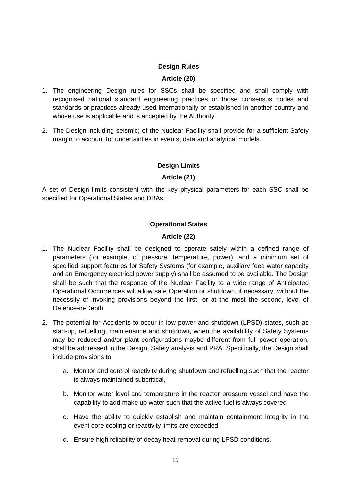# **Design Rules**

# **Article (20)**

- <span id="page-19-1"></span><span id="page-19-0"></span>1. The engineering Design rules for SSCs shall be specified and shall comply with recognised national standard engineering practices or those consensus codes and standards or practices already used internationally or established in another country and whose use is applicable and is accepted by the Authority
- 2. The Design including seismic) of the Nuclear Facility shall provide for a sufficient Safety margin to account for uncertainties in events, data and analytical models.

# **Design Limits**

# **Article (21)**

<span id="page-19-3"></span><span id="page-19-2"></span>A set of Design limits consistent with the key physical parameters for each SSC shall be specified for Operational States and DBAs.

# **Operational States**

# **Article (22)**

- <span id="page-19-5"></span><span id="page-19-4"></span>1. The Nuclear Facility shall be designed to operate safely within a defined range of parameters (for example, of pressure, temperature, power), and a minimum set of specified support features for Safety Systems (for example, auxiliary feed water capacity and an Emergency electrical power supply) shall be assumed to be available. The Design shall be such that the response of the Nuclear Facility to a wide range of Anticipated Operational Occurrences will allow safe Operation or shutdown, if necessary, without the necessity of invoking provisions beyond the first, or at the most the second, level of Defence-in-Depth
- 2. The potential for Accidents to occur in low power and shutdown (LPSD) states, such as start-up, refuelling, maintenance and shutdown, when the availability of Safety Systems may be reduced and/or plant configurations maybe different from full power operation, shall be addressed in the Design, Safety analysis and PRA. Specifically, the Design shall include provisions to:
	- a. Monitor and control reactivity during shutdown and refuelling such that the reactor is always maintained subcritical,
	- b. Monitor water level and temperature in the reactor pressure vessel and have the capability to add make up water such that the active fuel is always covered
	- c. Have the ability to quickly establish and maintain containment integrity in the event core cooling or reactivity limits are exceeded.
	- d. Ensure high reliability of decay heat removal during LPSD conditions.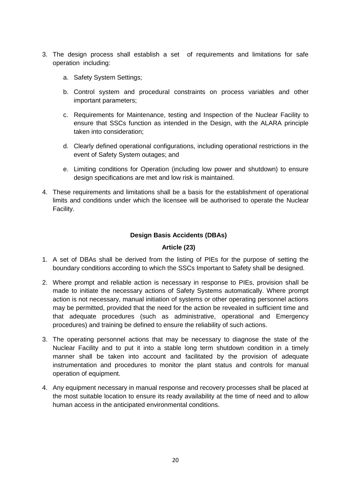- 3. The design process shall establish a set of requirements and limitations for safe operation including:
	- a. Safety System Settings;
	- b. Control system and procedural constraints on process variables and other important parameters;
	- c. Requirements for Maintenance, testing and Inspection of the Nuclear Facility to ensure that SSCs function as intended in the Design, with the ALARA principle taken into consideration;
	- d. Clearly defined operational configurations, including operational restrictions in the event of Safety System outages; and
	- e. Limiting conditions for Operation (including low power and shutdown) to ensure design specifications are met and low risk is maintained.
- 4. These requirements and limitations shall be a basis for the establishment of operational limits and conditions under which the licensee will be authorised to operate the Nuclear Facility.

# **Design Basis Accidents (DBAs)**

# **Article (23)**

- <span id="page-20-1"></span><span id="page-20-0"></span>1. A set of DBAs shall be derived from the listing of PIEs for the purpose of setting the boundary conditions according to which the SSCs Important to Safety shall be designed.
- 2. Where prompt and reliable action is necessary in response to PIEs, provision shall be made to initiate the necessary actions of Safety Systems automatically. Where prompt action is not necessary, manual initiation of systems or other operating personnel actions may be permitted, provided that the need for the action be revealed in sufficient time and that adequate procedures (such as administrative, operational and Emergency procedures) and training be defined to ensure the reliability of such actions.
- 3. The operating personnel actions that may be necessary to diagnose the state of the Nuclear Facility and to put it into a stable long term shutdown condition in a timely manner shall be taken into account and facilitated by the provision of adequate instrumentation and procedures to monitor the plant status and controls for manual operation of equipment.
- 4. Any equipment necessary in manual response and recovery processes shall be placed at the most suitable location to ensure its ready availability at the time of need and to allow human access in the anticipated environmental conditions.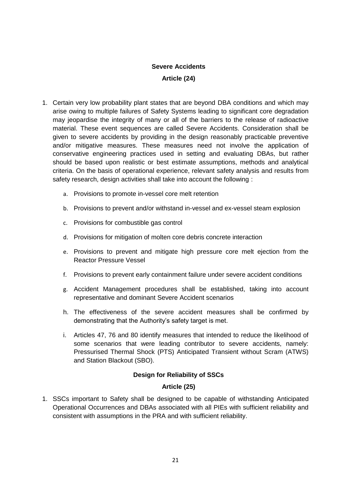# **Severe Accidents Article (24)**

- <span id="page-21-1"></span><span id="page-21-0"></span>1. Certain very low probability plant states that are beyond DBA conditions and which may arise owing to multiple failures of Safety Systems leading to significant core degradation may jeopardise the integrity of many or all of the barriers to the release of radioactive material. These event sequences are called Severe Accidents. Consideration shall be given to severe accidents by providing in the design reasonably practicable preventive and/or mitigative measures. These measures need not involve the application of conservative engineering practices used in setting and evaluating DBAs, but rather should be based upon realistic or best estimate assumptions, methods and analytical criteria. On the basis of operational experience, relevant safety analysis and results from safety research, design activities shall take into account the following :
	- a. Provisions to promote in-vessel core melt retention
	- b. Provisions to prevent and/or withstand in-vessel and ex-vessel steam explosion
	- c. Provisions for combustible gas control
	- d. Provisions for mitigation of molten core debris concrete interaction
	- e. Provisions to prevent and mitigate high pressure core melt ejection from the Reactor Pressure Vessel
	- f. Provisions to prevent early containment failure under severe accident conditions
	- g. Accident Management procedures shall be established, taking into account representative and dominant Severe Accident scenarios
	- h. The effectiveness of the severe accident measures shall be confirmed by demonstrating that the Authority's safety target is met.
	- i. Articles 47, 76 and 80 identify measures that intended to reduce the likelihood of some scenarios that were leading contributor to severe accidents, namely: Pressurised Thermal Shock (PTS) Anticipated Transient without Scram (ATWS) and Station Blackout (SBO).

# **Design for Reliability of SSCs**

# **Article (25)**

<span id="page-21-3"></span><span id="page-21-2"></span>1. SSCs important to Safety shall be designed to be capable of withstanding Anticipated Operational Occurrences and DBAs associated with all PIEs with sufficient reliability and consistent with assumptions in the PRA and with sufficient reliability.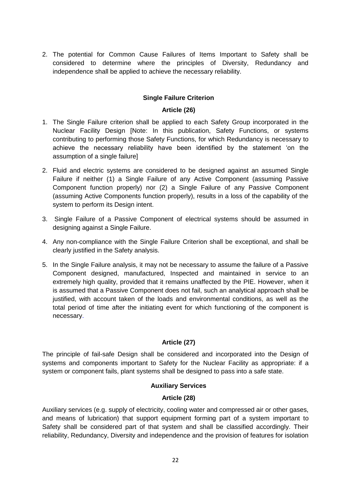2. The potential for Common Cause Failures of Items Important to Safety shall be considered to determine where the principles of Diversity, Redundancy and independence shall be applied to achieve the necessary reliability.

# **Single Failure Criterion**

#### **Article (26)**

- <span id="page-22-1"></span><span id="page-22-0"></span>1. The Single Failure criterion shall be applied to each Safety Group incorporated in the Nuclear Facility Design [Note: In this publication, Safety Functions, or systems contributing to performing those Safety Functions, for which Redundancy is necessary to achieve the necessary reliability have been identified by the statement "on the assumption of a single failure]
- 2. Fluid and electric systems are considered to be designed against an assumed Single Failure if neither (1) a Single Failure of any Active Component (assuming Passive Component function properly) nor (2) a Single Failure of any Passive Component (assuming Active Components function properly), results in a loss of the capability of the system to perform its Design intent.
- 3. Single Failure of a Passive Component of electrical systems should be assumed in designing against a Single Failure.
- 4. Any non-compliance with the Single Failure Criterion shall be exceptional, and shall be clearly justified in the Safety analysis.
- 5. In the Single Failure analysis, it may not be necessary to assume the failure of a Passive Component designed, manufactured, Inspected and maintained in service to an extremely high quality, provided that it remains unaffected by the PIE. However, when it is assumed that a Passive Component does not fail, such an analytical approach shall be justified, with account taken of the loads and environmental conditions, as well as the total period of time after the initiating event for which functioning of the component is necessary.

# **Article (27)**

<span id="page-22-2"></span>The principle of fail-safe Design shall be considered and incorporated into the Design of systems and components important to Safety for the Nuclear Facility as appropriate: if a system or component fails, plant systems shall be designed to pass into a safe state.

#### **Auxiliary Services**

#### **Article (28)**

<span id="page-22-4"></span><span id="page-22-3"></span>Auxiliary services (e.g. supply of electricity, cooling water and compressed air or other gases, and means of lubrication) that support equipment forming part of a system important to Safety shall be considered part of that system and shall be classified accordingly. Their reliability, Redundancy, Diversity and independence and the provision of features for isolation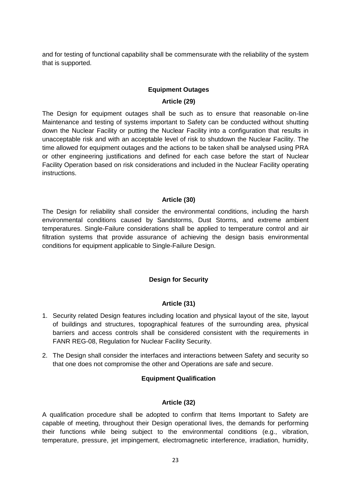and for testing of functional capability shall be commensurate with the reliability of the system that is supported.

# **Equipment Outages**

# **Article (29)**

<span id="page-23-1"></span><span id="page-23-0"></span>The Design for equipment outages shall be such as to ensure that reasonable on-line Maintenance and testing of systems important to Safety can be conducted without shutting down the Nuclear Facility or putting the Nuclear Facility into a configuration that results in unacceptable risk and with an acceptable level of risk to shutdown the Nuclear Facility. The time allowed for equipment outages and the actions to be taken shall be analysed using PRA or other engineering justifications and defined for each case before the start of Nuclear Facility Operation based on risk considerations and included in the Nuclear Facility operating instructions.

# **Article (30)**

<span id="page-23-2"></span>The Design for reliability shall consider the environmental conditions, including the harsh environmental conditions caused by Sandstorms, Dust Storms, and extreme ambient temperatures. Single-Failure considerations shall be applied to temperature control and air filtration systems that provide assurance of achieving the design basis environmental conditions for equipment applicable to Single-Failure Design.

# **Design for Security**

# **Article (31)**

- <span id="page-23-4"></span><span id="page-23-3"></span>1. Security related Design features including location and physical layout of the site, layout of buildings and structures, topographical features of the surrounding area, physical barriers and access controls shall be considered consistent with the requirements in FANR REG-08, Regulation for Nuclear Facility Security.
- <span id="page-23-5"></span>2. The Design shall consider the interfaces and interactions between Safety and security so that one does not compromise the other and Operations are safe and secure.

# **Equipment Qualification**

# **Article (32)**

<span id="page-23-6"></span>A qualification procedure shall be adopted to confirm that Items Important to Safety are capable of meeting, throughout their Design operational lives, the demands for performing their functions while being subject to the environmental conditions (e.g., vibration, temperature, pressure, jet impingement, electromagnetic interference, irradiation, humidity,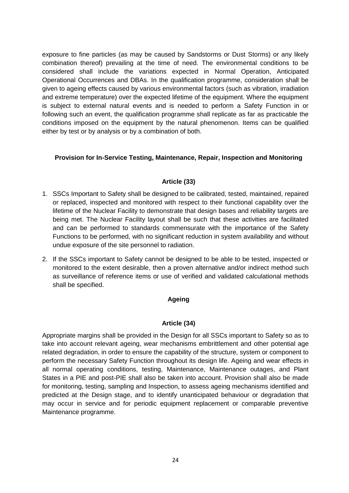exposure to fine particles (as may be caused by Sandstorms or Dust Storms) or any likely combination thereof) prevailing at the time of need. The environmental conditions to be considered shall include the variations expected in Normal Operation, Anticipated Operational Occurrences and DBAs. In the qualification programme, consideration shall be given to ageing effects caused by various environmental factors (such as vibration, irradiation and extreme temperature) over the expected lifetime of the equipment. Where the equipment is subject to external natural events and is needed to perform a Safety Function in or following such an event, the qualification programme shall replicate as far as practicable the conditions imposed on the equipment by the natural phenomenon. Items can be qualified either by test or by analysis or by a combination of both.

# <span id="page-24-0"></span>**Provision for In-Service Testing, Maintenance, Repair, Inspection and Monitoring**

# **Article (33)**

- <span id="page-24-1"></span>1. SSCs Important to Safety shall be designed to be calibrated, tested, maintained, repaired or replaced, inspected and monitored with respect to their functional capability over the lifetime of the Nuclear Facility to demonstrate that design bases and reliability targets are being met. The Nuclear Facility layout shall be such that these activities are facilitated and can be performed to standards commensurate with the importance of the Safety Functions to be performed, with no significant reduction in system availability and without undue exposure of the site personnel to radiation.
- 2. If the SSCs important to Safety cannot be designed to be able to be tested, inspected or monitored to the extent desirable, then a proven alternative and/or indirect method such as surveillance of reference items or use of verified and validated calculational methods shall be specified.

# **Ageing**

# **Article (34)**

<span id="page-24-3"></span><span id="page-24-2"></span>Appropriate margins shall be provided in the Design for all SSCs important to Safety so as to take into account relevant ageing, wear mechanisms embrittlement and other potential age related degradation, in order to ensure the capability of the structure, system or component to perform the necessary Safety Function throughout its design life. Ageing and wear effects in all normal operating conditions, testing, Maintenance, Maintenance outages, and Plant States in a PIE and post-PIE shall also be taken into account. Provision shall also be made for monitoring, testing, sampling and Inspection, to assess ageing mechanisms identified and predicted at the Design stage, and to identify unanticipated behaviour or degradation that may occur in service and for periodic equipment replacement or comparable preventive Maintenance programme.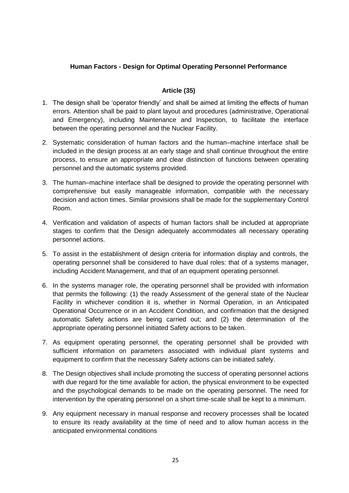# <span id="page-25-0"></span>**Human Factors - Design for Optimal Operating Personnel Performance**

# **Article (35)**

- <span id="page-25-1"></span>1. The design shall be "operator friendly" and shall be aimed at limiting the effects of human errors. Attention shall be paid to plant layout and procedures (administrative, Operational and Emergency), including Maintenance and Inspection, to facilitate the interface between the operating personnel and the Nuclear Facility.
- 2. Systematic consideration of human factors and the human–machine interface shall be included in the design process at an early stage and shall continue throughout the entire process, to ensure an appropriate and clear distinction of functions between operating personnel and the automatic systems provided.
- 3. The human–machine interface shall be designed to provide the operating personnel with comprehensive but easily manageable information, compatible with the necessary decision and action times. Similar provisions shall be made for the supplementary Control Room.
- 4. Verification and validation of aspects of human factors shall be included at appropriate stages to confirm that the Design adequately accommodates all necessary operating personnel actions.
- 5. To assist in the establishment of design criteria for information display and controls, the operating personnel shall be considered to have dual roles: that of a systems manager, including Accident Management, and that of an equipment operating personnel.
- 6. In the systems manager role, the operating personnel shall be provided with information that permits the following: (1) the ready Assessment of the general state of the Nuclear Facility in whichever condition it is, whether in Normal Operation, in an Anticipated Operational Occurrence or in an Accident Condition, and confirmation that the designed automatic Safety actions are being carried out; and (2) the determination of the appropriate operating personnel initiated Safety actions to be taken.
- 7. As equipment operating personnel, the operating personnel shall be provided with sufficient information on parameters associated with individual plant systems and equipment to confirm that the necessary Safety actions can be initiated safely.
- 8. The Design objectives shall include promoting the success of operating personnel actions with due regard for the time available for action, the physical environment to be expected and the psychological demands to be made on the operating personnel. The need for intervention by the operating personnel on a short time-scale shall be kept to a minimum.
- 9. Any equipment necessary in manual response and recovery processes shall be located to ensure its ready availability at the time of need and to allow human access in the anticipated environmental conditions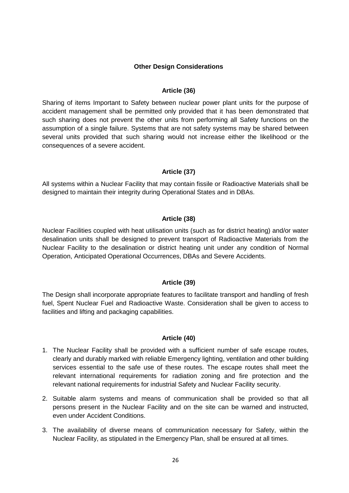#### **Other Design Considerations**

#### **Article (36)**

<span id="page-26-1"></span><span id="page-26-0"></span>Sharing of items Important to Safety between nuclear power plant units for the purpose of accident management shall be permitted only provided that it has been demonstrated that such sharing does not prevent the other units from performing all Safety functions on the assumption of a single failure. Systems that are not safety systems may be shared between several units provided that such sharing would not increase either the likelihood or the consequences of a severe accident.

#### **Article (37)**

<span id="page-26-2"></span>All systems within a Nuclear Facility that may contain fissile or Radioactive Materials shall be designed to maintain their integrity during Operational States and in DBAs.

#### **Article (38)**

<span id="page-26-3"></span>Nuclear Facilities coupled with heat utilisation units (such as for district heating) and/or water desalination units shall be designed to prevent transport of Radioactive Materials from the Nuclear Facility to the desalination or district heating unit under any condition of Normal Operation, Anticipated Operational Occurrences, DBAs and Severe Accidents.

#### **Article (39)**

<span id="page-26-4"></span>The Design shall incorporate appropriate features to facilitate transport and handling of fresh fuel, Spent Nuclear Fuel and Radioactive Waste. Consideration shall be given to access to facilities and lifting and packaging capabilities.

#### **Article (40)**

- <span id="page-26-5"></span>1. The Nuclear Facility shall be provided with a sufficient number of safe escape routes, clearly and durably marked with reliable Emergency lighting, ventilation and other building services essential to the safe use of these routes. The escape routes shall meet the relevant international requirements for radiation zoning and fire protection and the relevant national requirements for industrial Safety and Nuclear Facility security.
- 2. Suitable alarm systems and means of communication shall be provided so that all persons present in the Nuclear Facility and on the site can be warned and instructed, even under Accident Conditions.
- 3. The availability of diverse means of communication necessary for Safety, within the Nuclear Facility, as stipulated in the Emergency Plan, shall be ensured at all times.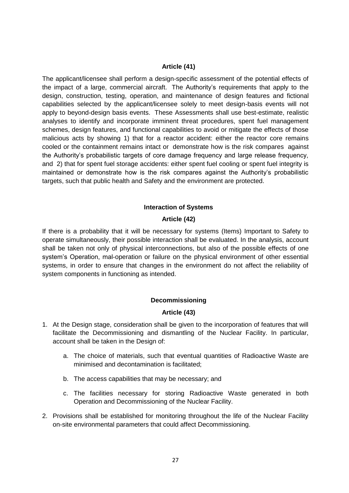#### **Article (41)**

<span id="page-27-0"></span>The applicant/licensee shall perform a design-specific assessment of the potential effects of the impact of a large, commercial aircraft. The Authority"s requirements that apply to the design, construction, testing, operation, and maintenance of design features and fictional capabilities selected by the applicant/licensee solely to meet design-basis events will not apply to beyond-design basis events. These Assessments shall use best-estimate, realistic analyses to identify and incorporate imminent threat procedures, spent fuel management schemes, design features, and functional capabilities to avoid or mitigate the effects of those malicious acts by showing 1) that for a reactor accident: either the reactor core remains cooled or the containment remains intact or demonstrate how is the risk compares against the Authority"s probabilistic targets of core damage frequency and large release frequency, and 2) that for spent fuel storage accidents: either spent fuel cooling or spent fuel integrity is maintained or demonstrate how is the risk compares against the Authority"s probabilistic targets, such that public health and Safety and the environment are protected.

# **Interaction of Systems**

# **Article (42)**

<span id="page-27-2"></span><span id="page-27-1"></span>If there is a probability that it will be necessary for systems (Items) Important to Safety to operate simultaneously, their possible interaction shall be evaluated. In the analysis, account shall be taken not only of physical interconnections, but also of the possible effects of one system"s Operation, mal-operation or failure on the physical environment of other essential systems, in order to ensure that changes in the environment do not affect the reliability of system components in functioning as intended.

# **Decommissioning**

# **Article (43)**

- <span id="page-27-4"></span><span id="page-27-3"></span>1. At the Design stage, consideration shall be given to the incorporation of features that will facilitate the Decommissioning and dismantling of the Nuclear Facility. In particular, account shall be taken in the Design of:
	- a. The choice of materials, such that eventual quantities of Radioactive Waste are minimised and decontamination is facilitated;
	- b. The access capabilities that may be necessary; and
	- c. The facilities necessary for storing Radioactive Waste generated in both Operation and Decommissioning of the Nuclear Facility.
- 2. Provisions shall be established for monitoring throughout the life of the Nuclear Facility on-site environmental parameters that could affect Decommissioning.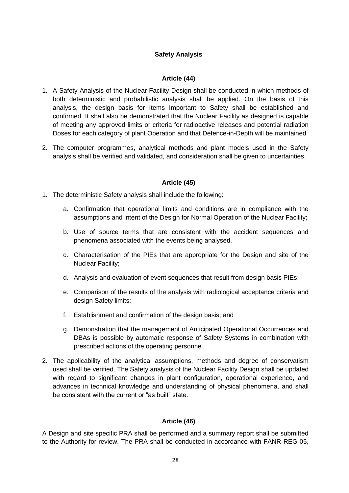# **Safety Analysis**

# **Article (44)**

- <span id="page-28-1"></span><span id="page-28-0"></span>1. A Safety Analysis of the Nuclear Facility Design shall be conducted in which methods of both deterministic and probabilistic analysis shall be applied. On the basis of this analysis, the design basis for Items Important to Safety shall be established and confirmed. It shall also be demonstrated that the Nuclear Facility as designed is capable of meeting any approved limits or criteria for radioactive releases and potential radiation Doses for each category of plant Operation and that Defence-in-Depth will be maintained
- 2. The computer programmes, analytical methods and plant models used in the Safety analysis shall be verified and validated, and consideration shall be given to uncertainties.

# **Article (45)**

- <span id="page-28-2"></span>1. The deterministic Safety analysis shall include the following:
	- a. Confirmation that operational limits and conditions are in compliance with the assumptions and intent of the Design for Normal Operation of the Nuclear Facility;
	- b. Use of source terms that are consistent with the accident sequences and phenomena associated with the events being analysed.
	- c. Characterisation of the PIEs that are appropriate for the Design and site of the Nuclear Facility;
	- d. Analysis and evaluation of event sequences that result from design basis PIEs;
	- e. Comparison of the results of the analysis with radiological acceptance criteria and design Safety limits;
	- f. Establishment and confirmation of the design basis; and
	- g. Demonstration that the management of Anticipated Operational Occurrences and DBAs is possible by automatic response of Safety Systems in combination with prescribed actions of the operating personnel.
- 2. The applicability of the analytical assumptions, methods and degree of conservatism used shall be verified. The Safety analysis of the Nuclear Facility Design shall be updated with regard to significant changes in plant configuration, operational experience, and advances in technical knowledge and understanding of physical phenomena, and shall be consistent with the current or "as built" state.

# **Article (46)**

<span id="page-28-3"></span>A Design and site specific PRA shall be performed and a summary report shall be submitted to the Authority for review. The PRA shall be conducted in accordance with FANR-REG-05,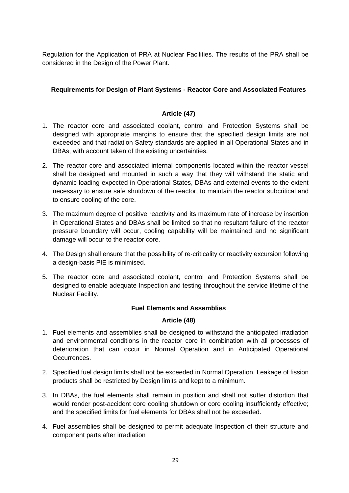Regulation for the Application of PRA at Nuclear Facilities. The results of the PRA shall be considered in the Design of the Power Plant.

# <span id="page-29-0"></span>**Requirements for Design of Plant Systems - Reactor Core and Associated Features**

# **Article (47)**

- <span id="page-29-1"></span>1. The reactor core and associated coolant, control and Protection Systems shall be designed with appropriate margins to ensure that the specified design limits are not exceeded and that radiation Safety standards are applied in all Operational States and in DBAs, with account taken of the existing uncertainties.
- 2. The reactor core and associated internal components located within the reactor vessel shall be designed and mounted in such a way that they will withstand the static and dynamic loading expected in Operational States, DBAs and external events to the extent necessary to ensure safe shutdown of the reactor, to maintain the reactor subcritical and to ensure cooling of the core.
- 3. The maximum degree of positive reactivity and its maximum rate of increase by insertion in Operational States and DBAs shall be limited so that no resultant failure of the reactor pressure boundary will occur, cooling capability will be maintained and no significant damage will occur to the reactor core.
- 4. The Design shall ensure that the possibility of re-criticality or reactivity excursion following a design-basis PIE is minimised.
- 5. The reactor core and associated coolant, control and Protection Systems shall be designed to enable adequate Inspection and testing throughout the service lifetime of the Nuclear Facility.

# **Fuel Elements and Assemblies**

# **Article (48)**

- <span id="page-29-3"></span><span id="page-29-2"></span>1. Fuel elements and assemblies shall be designed to withstand the anticipated irradiation and environmental conditions in the reactor core in combination with all processes of deterioration that can occur in Normal Operation and in Anticipated Operational Occurrences.
- 2. Specified fuel design limits shall not be exceeded in Normal Operation. Leakage of fission products shall be restricted by Design limits and kept to a minimum.
- 3. In DBAs, the fuel elements shall remain in position and shall not suffer distortion that would render post-accident core cooling shutdown or core cooling insufficiently effective; and the specified limits for fuel elements for DBAs shall not be exceeded.
- 4. Fuel assemblies shall be designed to permit adequate Inspection of their structure and component parts after irradiation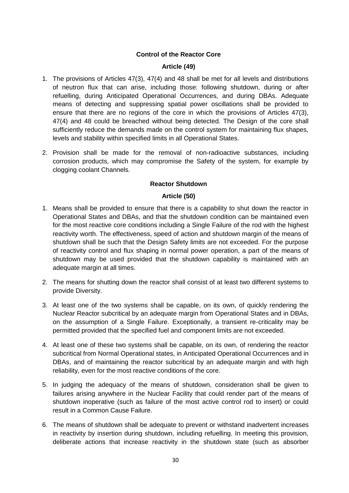# **Control of the Reactor Core**

#### **Article (49)**

- <span id="page-30-1"></span><span id="page-30-0"></span>1. The provisions of Articles 47(3), 47(4) and 48 shall be met for all levels and distributions of neutron flux that can arise, including those: following shutdown, during or after refuelling, during Anticipated Operational Occurrences, and during DBAs. Adequate means of detecting and suppressing spatial power oscillations shall be provided to ensure that there are no regions of the core in which the provisions of Articles 47(3), 47(4) and 48 could be breached without being detected. The Design of the core shall sufficiently reduce the demands made on the control system for maintaining flux shapes, levels and stability within specified limits in all Operational States.
- 2. Provision shall be made for the removal of non-radioactive substances, including corrosion products, which may compromise the Safety of the system, for example by clogging coolant Channels.

# **Reactor Shutdown**

#### **Article (50)**

- <span id="page-30-3"></span><span id="page-30-2"></span>1. Means shall be provided to ensure that there is a capability to shut down the reactor in Operational States and DBAs, and that the shutdown condition can be maintained even for the most reactive core conditions including a Single Failure of the rod with the highest reactivity worth. The effectiveness, speed of action and shutdown margin of the means of shutdown shall be such that the Design Safety limits are not exceeded. For the purpose of reactivity control and flux shaping in normal power operation, a part of the means of shutdown may be used provided that the shutdown capability is maintained with an adequate margin at all times.
- 2. The means for shutting down the reactor shall consist of at least two different systems to provide Diversity.
- 3. At least one of the two systems shall be capable, on its own, of quickly rendering the Nuclear Reactor subcritical by an adequate margin from Operational States and in DBAs, on the assumption of a Single Failure. Exceptionally, a transient re-criticality may be permitted provided that the specified fuel and component limits are not exceeded.
- 4. At least one of these two systems shall be capable, on its own, of rendering the reactor subcritical from Normal Operational states, in Anticipated Operational Occurrences and in DBAs, and of maintaining the reactor subcritical by an adequate margin and with high reliability, even for the most reactive conditions of the core.
- 5. In judging the adequacy of the means of shutdown, consideration shall be given to failures arising anywhere in the Nuclear Facility that could render part of the means of shutdown inoperative (such as failure of the most active control rod to insert) or could result in a Common Cause Failure.
- 6. The means of shutdown shall be adequate to prevent or withstand inadvertent increases in reactivity by insertion during shutdown, including refuelling. In meeting this provision, deliberate actions that increase reactivity in the shutdown state (such as absorber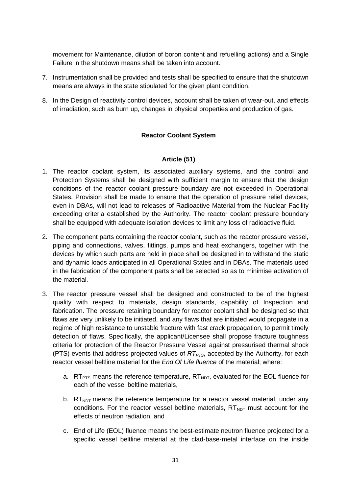movement for Maintenance, dilution of boron content and refuelling actions) and a Single Failure in the shutdown means shall be taken into account.

- 7. Instrumentation shall be provided and tests shall be specified to ensure that the shutdown means are always in the state stipulated for the given plant condition.
- <span id="page-31-0"></span>8. In the Design of reactivity control devices, account shall be taken of wear-out, and effects of irradiation, such as burn up, changes in physical properties and production of gas.

# **Reactor Coolant System**

# **Article (51)**

- <span id="page-31-1"></span>1. The reactor coolant system, its associated auxiliary systems, and the control and Protection Systems shall be designed with sufficient margin to ensure that the design conditions of the reactor coolant pressure boundary are not exceeded in Operational States. Provision shall be made to ensure that the operation of pressure relief devices, even in DBAs, will not lead to releases of Radioactive Material from the Nuclear Facility exceeding criteria established by the Authority. The reactor coolant pressure boundary shall be equipped with adequate isolation devices to limit any loss of radioactive fluid.
- 2. The component parts containing the reactor coolant, such as the reactor pressure vessel, piping and connections, valves, fittings, pumps and heat exchangers, together with the devices by which such parts are held in place shall be designed in to withstand the static and dynamic loads anticipated in all Operational States and in DBAs. The materials used in the fabrication of the component parts shall be selected so as to minimise activation of the material.
- 3. The reactor pressure vessel shall be designed and constructed to be of the highest quality with respect to materials, design standards, capability of Inspection and fabrication. The pressure retaining boundary for reactor coolant shall be designed so that flaws are very unlikely to be initiated, and any flaws that are initiated would propagate in a regime of high resistance to unstable fracture with fast crack propagation, to permit timely detection of flaws. Specifically, the applicant/Licensee shall propose fracture toughness criteria for protection of the Reactor Pressure Vessel against pressurised thermal shock (PTS) events that address projected values of *RTPTS*, accepted by the Authority, for each reactor vessel beltline material for the *End Of Life fluence* of the material; where:
	- a. RT<sub>PTS</sub> means the reference temperature,  $RT_{NDT}$ , evaluated for the EOL fluence for each of the vessel beltline materials,
	- b.  $RT<sub>NOT</sub>$  means the reference temperature for a reactor vessel material, under any conditions. For the reactor vessel beltline materials,  $RT_{NDT}$  must account for the effects of neutron radiation, and
	- c. End of Life (EOL) fluence means the best-estimate neutron fluence projected for a specific vessel beltline material at the clad-base-metal interface on the inside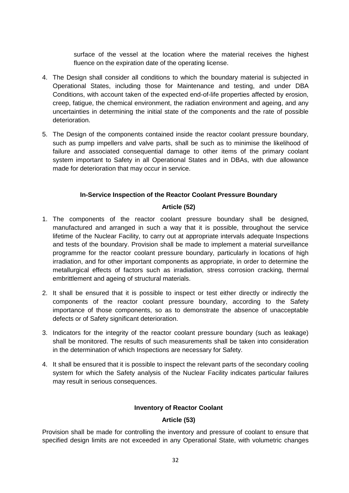surface of the vessel at the location where the material receives the highest fluence on the expiration date of the operating license.

- 4. The Design shall consider all conditions to which the boundary material is subjected in Operational States, including those for Maintenance and testing, and under DBA Conditions, with account taken of the expected end-of-life properties affected by erosion, creep, fatigue, the chemical environment, the radiation environment and ageing, and any uncertainties in determining the initial state of the components and the rate of possible deterioration.
- 5. The Design of the components contained inside the reactor coolant pressure boundary, such as pump impellers and valve parts, shall be such as to minimise the likelihood of failure and associated consequential damage to other items of the primary coolant system important to Safety in all Operational States and in DBAs, with due allowance made for deterioration that may occur in service.

# **In-Service Inspection of the Reactor Coolant Pressure Boundary**

# **Article (52)**

- <span id="page-32-1"></span><span id="page-32-0"></span>1. The components of the reactor coolant pressure boundary shall be designed, manufactured and arranged in such a way that it is possible, throughout the service lifetime of the Nuclear Facility, to carry out at appropriate intervals adequate Inspections and tests of the boundary. Provision shall be made to implement a material surveillance programme for the reactor coolant pressure boundary, particularly in locations of high irradiation, and for other important components as appropriate, in order to determine the metallurgical effects of factors such as irradiation, stress corrosion cracking, thermal embrittlement and ageing of structural materials.
- 2. It shall be ensured that it is possible to inspect or test either directly or indirectly the components of the reactor coolant pressure boundary, according to the Safety importance of those components, so as to demonstrate the absence of unacceptable defects or of Safety significant deterioration.
- 3. Indicators for the integrity of the reactor coolant pressure boundary (such as leakage) shall be monitored. The results of such measurements shall be taken into consideration in the determination of which Inspections are necessary for Safety.
- 4. It shall be ensured that it is possible to inspect the relevant parts of the secondary cooling system for which the Safety analysis of the Nuclear Facility indicates particular failures may result in serious consequences.

# **Inventory of Reactor Coolant**

# **Article (53)**

<span id="page-32-3"></span><span id="page-32-2"></span>Provision shall be made for controlling the inventory and pressure of coolant to ensure that specified design limits are not exceeded in any Operational State, with volumetric changes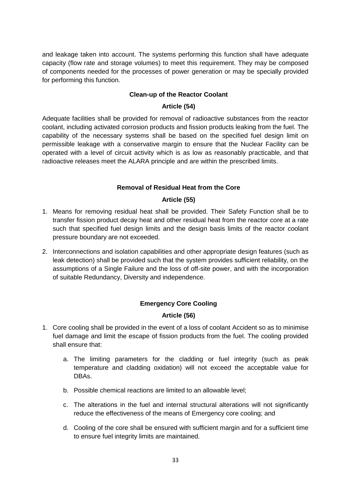and leakage taken into account. The systems performing this function shall have adequate capacity (flow rate and storage volumes) to meet this requirement. They may be composed of components needed for the processes of power generation or may be specially provided for performing this function.

# **Clean-up of the Reactor Coolant**

# **Article (54)**

<span id="page-33-1"></span><span id="page-33-0"></span>Adequate facilities shall be provided for removal of radioactive substances from the reactor coolant, including activated corrosion products and fission products leaking from the fuel. The capability of the necessary systems shall be based on the specified fuel design limit on permissible leakage with a conservative margin to ensure that the Nuclear Facility can be operated with a level of circuit activity which is as low as reasonably practicable, and that radioactive releases meet the ALARA principle and are within the prescribed limits.

# **Removal of Residual Heat from the Core**

# **Article (55)**

- <span id="page-33-3"></span><span id="page-33-2"></span>1. Means for removing residual heat shall be provided. Their Safety Function shall be to transfer fission product decay heat and other residual heat from the reactor core at a rate such that specified fuel design limits and the design basis limits of the reactor coolant pressure boundary are not exceeded.
- 2. Interconnections and isolation capabilities and other appropriate design features (such as leak detection) shall be provided such that the system provides sufficient reliability, on the assumptions of a Single Failure and the loss of off-site power, and with the incorporation of suitable Redundancy, Diversity and independence.

# **Emergency Core Cooling**

# **Article (56)**

- <span id="page-33-5"></span><span id="page-33-4"></span>1. Core cooling shall be provided in the event of a loss of coolant Accident so as to minimise fuel damage and limit the escape of fission products from the fuel. The cooling provided shall ensure that:
	- a. The limiting parameters for the cladding or fuel integrity (such as peak temperature and cladding oxidation) will not exceed the acceptable value for DBAs.
	- b. Possible chemical reactions are limited to an allowable level;
	- c. The alterations in the fuel and internal structural alterations will not significantly reduce the effectiveness of the means of Emergency core cooling; and
	- d. Cooling of the core shall be ensured with sufficient margin and for a sufficient time to ensure fuel integrity limits are maintained.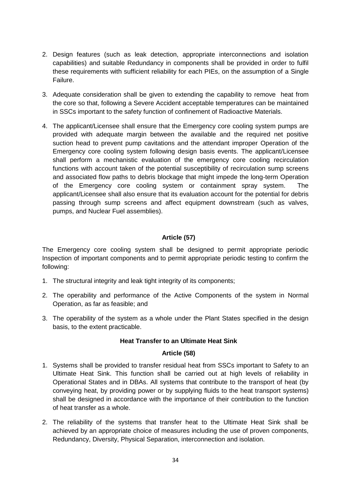- 2. Design features (such as leak detection, appropriate interconnections and isolation capabilities) and suitable Redundancy in components shall be provided in order to fulfil these requirements with sufficient reliability for each PIEs, on the assumption of a Single Failure.
- 3. Adequate consideration shall be given to extending the capability to remove heat from the core so that, following a Severe Accident acceptable temperatures can be maintained in SSCs important to the safety function of confinement of Radioactive Materials.
- 4. The applicant/Licensee shall ensure that the Emergency core cooling system pumps are provided with adequate margin between the available and the required net positive suction head to prevent pump cavitations and the attendant improper Operation of the Emergency core cooling system following design basis events. The applicant/Licensee shall perform a mechanistic evaluation of the emergency core cooling recirculation functions with account taken of the potential susceptibility of recirculation sump screens and associated flow paths to debris blockage that might impede the long-term Operation of the Emergency core cooling system or containment spray system. The applicant/Licensee shall also ensure that its evaluation account for the potential for debris passing through sump screens and affect equipment downstream (such as valves, pumps, and Nuclear Fuel assemblies).

# **Article (57)**

<span id="page-34-0"></span>The Emergency core cooling system shall be designed to permit appropriate periodic Inspection of important components and to permit appropriate periodic testing to confirm the following:

- 1. The structural integrity and leak tight integrity of its components;
- 2. The operability and performance of the Active Components of the system in Normal Operation, as far as feasible; and
- <span id="page-34-1"></span>3. The operability of the system as a whole under the Plant States specified in the design basis, to the extent practicable.

# **Heat Transfer to an Ultimate Heat Sink**

# **Article (58)**

- <span id="page-34-2"></span>1. Systems shall be provided to transfer residual heat from SSCs important to Safety to an Ultimate Heat Sink. This function shall be carried out at high levels of reliability in Operational States and in DBAs. All systems that contribute to the transport of heat (by conveying heat, by providing power or by supplying fluids to the heat transport systems) shall be designed in accordance with the importance of their contribution to the function of heat transfer as a whole.
- 2. The reliability of the systems that transfer heat to the Ultimate Heat Sink shall be achieved by an appropriate choice of measures including the use of proven components, Redundancy, Diversity, Physical Separation, interconnection and isolation.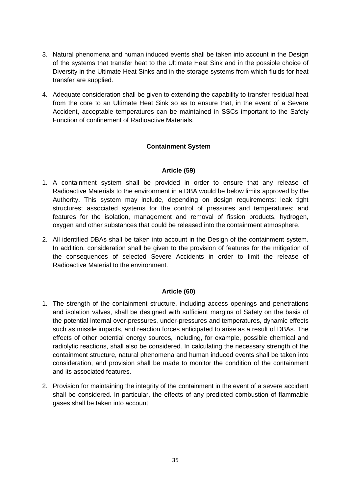- 3. Natural phenomena and human induced events shall be taken into account in the Design of the systems that transfer heat to the Ultimate Heat Sink and in the possible choice of Diversity in the Ultimate Heat Sinks and in the storage systems from which fluids for heat transfer are supplied.
- 4. Adequate consideration shall be given to extending the capability to transfer residual heat from the core to an Ultimate Heat Sink so as to ensure that, in the event of a Severe Accident, acceptable temperatures can be maintained in SSCs important to the Safety Function of confinement of Radioactive Materials.

# **Containment System**

# **Article (59)**

- <span id="page-35-1"></span><span id="page-35-0"></span>1. A containment system shall be provided in order to ensure that any release of Radioactive Materials to the environment in a DBA would be below limits approved by the Authority. This system may include, depending on design requirements: leak tight structures; associated systems for the control of pressures and temperatures; and features for the isolation, management and removal of fission products, hydrogen, oxygen and other substances that could be released into the containment atmosphere.
- 2. All identified DBAs shall be taken into account in the Design of the containment system. In addition, consideration shall be given to the provision of features for the mitigation of the consequences of selected Severe Accidents in order to limit the release of Radioactive Material to the environment.

# **Article (60)**

- <span id="page-35-2"></span>1. The strength of the containment structure, including access openings and penetrations and isolation valves, shall be designed with sufficient margins of Safety on the basis of the potential internal over-pressures, under-pressures and temperatures, dynamic effects such as missile impacts, and reaction forces anticipated to arise as a result of DBAs. The effects of other potential energy sources, including, for example, possible chemical and radiolytic reactions, shall also be considered. In calculating the necessary strength of the containment structure, natural phenomena and human induced events shall be taken into consideration, and provision shall be made to monitor the condition of the containment and its associated features.
- 2. Provision for maintaining the integrity of the containment in the event of a severe accident shall be considered. In particular, the effects of any predicted combustion of flammable gases shall be taken into account.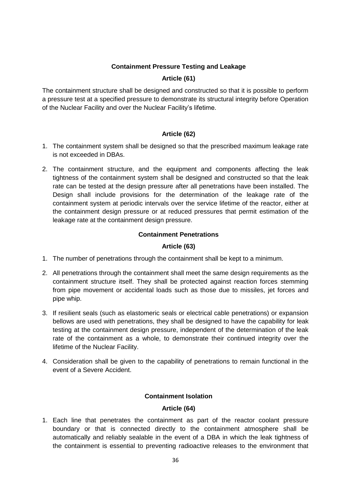# **Containment Pressure Testing and Leakage**

# **Article (61)**

<span id="page-36-1"></span><span id="page-36-0"></span>The containment structure shall be designed and constructed so that it is possible to perform a pressure test at a specified pressure to demonstrate its structural integrity before Operation of the Nuclear Facility and over the Nuclear Facility"s lifetime.

# **Article (62)**

- <span id="page-36-2"></span>1. The containment system shall be designed so that the prescribed maximum leakage rate is not exceeded in DBAs.
- 2. The containment structure, and the equipment and components affecting the leak tightness of the containment system shall be designed and constructed so that the leak rate can be tested at the design pressure after all penetrations have been installed. The Design shall include provisions for the determination of the leakage rate of the containment system at periodic intervals over the service lifetime of the reactor, either at the containment design pressure or at reduced pressures that permit estimation of the leakage rate at the containment design pressure.

# **Containment Penetrations**

# **Article (63)**

- <span id="page-36-4"></span><span id="page-36-3"></span>1. The number of penetrations through the containment shall be kept to a minimum.
- 2. All penetrations through the containment shall meet the same design requirements as the containment structure itself. They shall be protected against reaction forces stemming from pipe movement or accidental loads such as those due to missiles, jet forces and pipe whip.
- 3. If resilient seals (such as elastomeric seals or electrical cable penetrations) or expansion bellows are used with penetrations, they shall be designed to have the capability for leak testing at the containment design pressure, independent of the determination of the leak rate of the containment as a whole, to demonstrate their continued integrity over the lifetime of the Nuclear Facility.
- 4. Consideration shall be given to the capability of penetrations to remain functional in the event of a Severe Accident.

# **Containment Isolation**

# **Article (64)**

<span id="page-36-6"></span><span id="page-36-5"></span>1. Each line that penetrates the containment as part of the reactor coolant pressure boundary or that is connected directly to the containment atmosphere shall be automatically and reliably sealable in the event of a DBA in which the leak tightness of the containment is essential to preventing radioactive releases to the environment that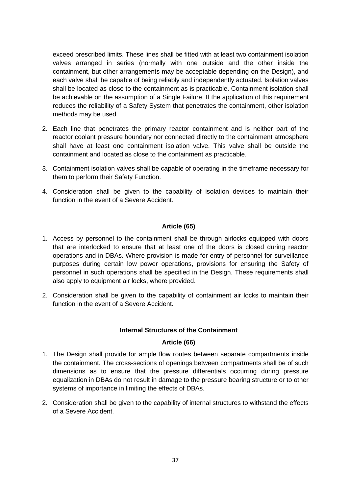exceed prescribed limits. These lines shall be fitted with at least two containment isolation valves arranged in series (normally with one outside and the other inside the containment, but other arrangements may be acceptable depending on the Design), and each valve shall be capable of being reliably and independently actuated. Isolation valves shall be located as close to the containment as is practicable. Containment isolation shall be achievable on the assumption of a Single Failure. If the application of this requirement reduces the reliability of a Safety System that penetrates the containment, other isolation methods may be used.

- 2. Each line that penetrates the primary reactor containment and is neither part of the reactor coolant pressure boundary nor connected directly to the containment atmosphere shall have at least one containment isolation valve. This valve shall be outside the containment and located as close to the containment as practicable.
- 3. Containment isolation valves shall be capable of operating in the timeframe necessary for them to perform their Safety Function.
- 4. Consideration shall be given to the capability of isolation devices to maintain their function in the event of a Severe Accident.

# **Article (65)**

- <span id="page-37-0"></span>1. Access by personnel to the containment shall be through airlocks equipped with doors that are interlocked to ensure that at least one of the doors is closed during reactor operations and in DBAs. Where provision is made for entry of personnel for surveillance purposes during certain low power operations, provisions for ensuring the Safety of personnel in such operations shall be specified in the Design. These requirements shall also apply to equipment air locks, where provided.
- 2. Consideration shall be given to the capability of containment air locks to maintain their function in the event of a Severe Accident.

# **Internal Structures of the Containment**

# **Article (66)**

- <span id="page-37-2"></span><span id="page-37-1"></span>1. The Design shall provide for ample flow routes between separate compartments inside the containment. The cross-sections of openings between compartments shall be of such dimensions as to ensure that the pressure differentials occurring during pressure equalization in DBAs do not result in damage to the pressure bearing structure or to other systems of importance in limiting the effects of DBAs.
- 2. Consideration shall be given to the capability of internal structures to withstand the effects of a Severe Accident.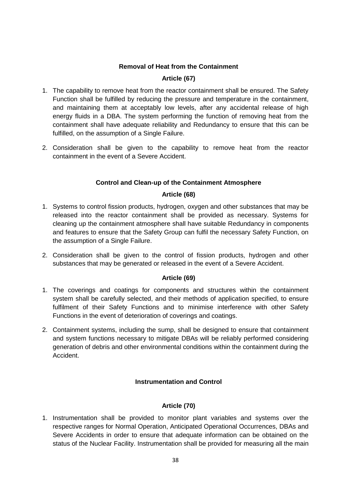# **Removal of Heat from the Containment**

# **Article (67)**

- <span id="page-38-1"></span><span id="page-38-0"></span>1. The capability to remove heat from the reactor containment shall be ensured. The Safety Function shall be fulfilled by reducing the pressure and temperature in the containment, and maintaining them at acceptably low levels, after any accidental release of high energy fluids in a DBA. The system performing the function of removing heat from the containment shall have adequate reliability and Redundancy to ensure that this can be fulfilled, on the assumption of a Single Failure.
- 2. Consideration shall be given to the capability to remove heat from the reactor containment in the event of a Severe Accident.

# **Control and Clean-up of the Containment Atmosphere**

# **Article (68)**

- <span id="page-38-3"></span><span id="page-38-2"></span>1. Systems to control fission products, hydrogen, oxygen and other substances that may be released into the reactor containment shall be provided as necessary. Systems for cleaning up the containment atmosphere shall have suitable Redundancy in components and features to ensure that the Safety Group can fulfil the necessary Safety Function, on the assumption of a Single Failure.
- 2. Consideration shall be given to the control of fission products, hydrogen and other substances that may be generated or released in the event of a Severe Accident.

# **Article (69)**

- <span id="page-38-4"></span>1. The coverings and coatings for components and structures within the containment system shall be carefully selected, and their methods of application specified, to ensure fulfilment of their Safety Functions and to minimise interference with other Safety Functions in the event of deterioration of coverings and coatings.
- 2. Containment systems, including the sump, shall be designed to ensure that containment and system functions necessary to mitigate DBAs will be reliably performed considering generation of debris and other environmental conditions within the containment during the Accident.

# **Instrumentation and Control**

# **Article (70)**

<span id="page-38-6"></span><span id="page-38-5"></span>1. Instrumentation shall be provided to monitor plant variables and systems over the respective ranges for Normal Operation, Anticipated Operational Occurrences, DBAs and Severe Accidents in order to ensure that adequate information can be obtained on the status of the Nuclear Facility. Instrumentation shall be provided for measuring all the main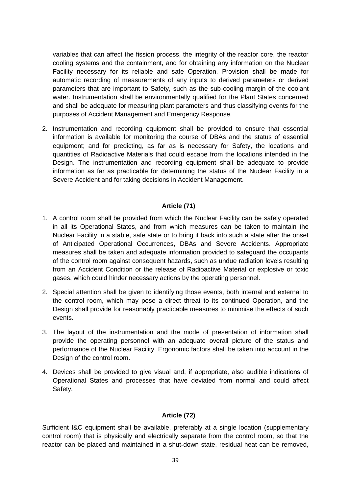variables that can affect the fission process, the integrity of the reactor core, the reactor cooling systems and the containment, and for obtaining any information on the Nuclear Facility necessary for its reliable and safe Operation. Provision shall be made for automatic recording of measurements of any inputs to derived parameters or derived parameters that are important to Safety, such as the sub-cooling margin of the coolant water. Instrumentation shall be environmentally qualified for the Plant States concerned and shall be adequate for measuring plant parameters and thus classifying events for the purposes of Accident Management and Emergency Response.

2. Instrumentation and recording equipment shall be provided to ensure that essential information is available for monitoring the course of DBAs and the status of essential equipment; and for predicting, as far as is necessary for Safety, the locations and quantities of Radioactive Materials that could escape from the locations intended in the Design. The instrumentation and recording equipment shall be adequate to provide information as far as practicable for determining the status of the Nuclear Facility in a Severe Accident and for taking decisions in Accident Management.

# **Article (71)**

- <span id="page-39-0"></span>1. A control room shall be provided from which the Nuclear Facility can be safely operated in all its Operational States, and from which measures can be taken to maintain the Nuclear Facility in a stable, safe state or to bring it back into such a state after the onset of Anticipated Operational Occurrences, DBAs and Severe Accidents. Appropriate measures shall be taken and adequate information provided to safeguard the occupants of the control room against consequent hazards, such as undue radiation levels resulting from an Accident Condition or the release of Radioactive Material or explosive or toxic gases, which could hinder necessary actions by the operating personnel.
- 2. Special attention shall be given to identifying those events, both internal and external to the control room, which may pose a direct threat to its continued Operation, and the Design shall provide for reasonably practicable measures to minimise the effects of such events.
- 3. The layout of the instrumentation and the mode of presentation of information shall provide the operating personnel with an adequate overall picture of the status and performance of the Nuclear Facility. Ergonomic factors shall be taken into account in the Design of the control room.
- 4. Devices shall be provided to give visual and, if appropriate, also audible indications of Operational States and processes that have deviated from normal and could affect Safety.

# **Article (72)**

<span id="page-39-1"></span>Sufficient I&C equipment shall be available, preferably at a single location (supplementary control room) that is physically and electrically separate from the control room, so that the reactor can be placed and maintained in a shut-down state, residual heat can be removed,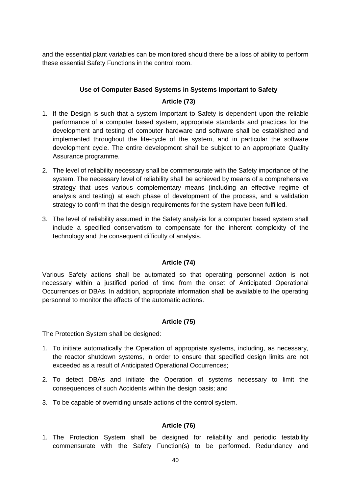and the essential plant variables can be monitored should there be a loss of ability to perform these essential Safety Functions in the control room.

# **Use of Computer Based Systems in Systems Important to Safety**

# **Article (73)**

- <span id="page-40-1"></span><span id="page-40-0"></span>1. If the Design is such that a system Important to Safety is dependent upon the reliable performance of a computer based system, appropriate standards and practices for the development and testing of computer hardware and software shall be established and implemented throughout the life-cycle of the system, and in particular the software development cycle. The entire development shall be subject to an appropriate Quality Assurance programme.
- 2. The level of reliability necessary shall be commensurate with the Safety importance of the system. The necessary level of reliability shall be achieved by means of a comprehensive strategy that uses various complementary means (including an effective regime of analysis and testing) at each phase of development of the process, and a validation strategy to confirm that the design requirements for the system have been fulfilled.
- 3. The level of reliability assumed in the Safety analysis for a computer based system shall include a specified conservatism to compensate for the inherent complexity of the technology and the consequent difficulty of analysis.

# **Article (74)**

<span id="page-40-2"></span>Various Safety actions shall be automated so that operating personnel action is not necessary within a justified period of time from the onset of Anticipated Operational Occurrences or DBAs. In addition, appropriate information shall be available to the operating personnel to monitor the effects of the automatic actions.

# **Article (75)**

<span id="page-40-3"></span>The Protection System shall be designed:

- 1. To initiate automatically the Operation of appropriate systems, including, as necessary, the reactor shutdown systems, in order to ensure that specified design limits are not exceeded as a result of Anticipated Operational Occurrences;
- 2. To detect DBAs and initiate the Operation of systems necessary to limit the consequences of such Accidents within the design basis; and
- 3. To be capable of overriding unsafe actions of the control system.

# **Article (76)**

<span id="page-40-4"></span>1. The Protection System shall be designed for reliability and periodic testability commensurate with the Safety Function(s) to be performed. Redundancy and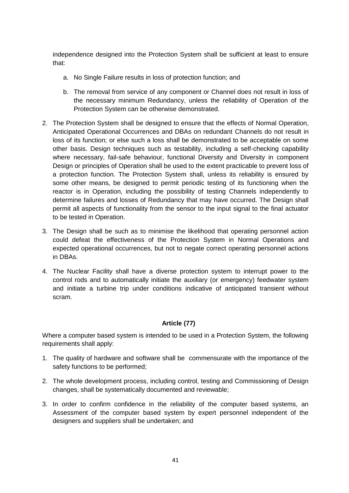independence designed into the Protection System shall be sufficient at least to ensure that:

- a. No Single Failure results in loss of protection function; and
- b. The removal from service of any component or Channel does not result in loss of the necessary minimum Redundancy, unless the reliability of Operation of the Protection System can be otherwise demonstrated.
- 2. The Protection System shall be designed to ensure that the effects of Normal Operation, Anticipated Operational Occurrences and DBAs on redundant Channels do not result in loss of its function; or else such a loss shall be demonstrated to be acceptable on some other basis. Design techniques such as testability, including a self-checking capability where necessary, fail-safe behaviour, functional Diversity and Diversity in component Design or principles of Operation shall be used to the extent practicable to prevent loss of a protection function. The Protection System shall, unless its reliability is ensured by some other means, be designed to permit periodic testing of its functioning when the reactor is in Operation, including the possibility of testing Channels independently to determine failures and losses of Redundancy that may have occurred. The Design shall permit all aspects of functionality from the sensor to the input signal to the final actuator to be tested in Operation.
- 3. The Design shall be such as to minimise the likelihood that operating personnel action could defeat the effectiveness of the Protection System in Normal Operations and expected operational occurrences, but not to negate correct operating personnel actions in DBAs.
- 4. The Nuclear Facility shall have a diverse protection system to interrupt power to the control rods and to automatically initiate the auxiliary (or emergency) feedwater system and initiate a turbine trip under conditions indicative of anticipated transient without scram.

# **Article (77)**

<span id="page-41-0"></span>Where a computer based system is intended to be used in a Protection System, the following requirements shall apply:

- 1. The quality of hardware and software shall be commensurate with the importance of the safety functions to be performed;
- 2. The whole development process, including control, testing and Commissioning of Design changes, shall be systematically documented and reviewable;
- 3. In order to confirm confidence in the reliability of the computer based systems, an Assessment of the computer based system by expert personnel independent of the designers and suppliers shall be undertaken; and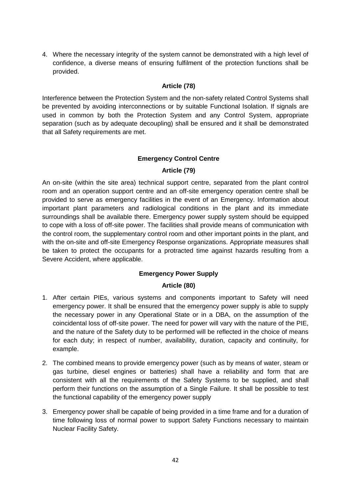4. Where the necessary integrity of the system cannot be demonstrated with a high level of confidence, a diverse means of ensuring fulfilment of the protection functions shall be provided.

# **Article (78)**

<span id="page-42-0"></span>Interference between the Protection System and the non-safety related Control Systems shall be prevented by avoiding interconnections or by suitable Functional Isolation. If signals are used in common by both the Protection System and any Control System, appropriate separation (such as by adequate decoupling) shall be ensured and it shall be demonstrated that all Safety requirements are met.

# **Emergency Control Centre**

# **Article (79)**

<span id="page-42-2"></span><span id="page-42-1"></span>An on-site (within the site area) technical support centre, separated from the plant control room and an operation support centre and an off-site emergency operation centre shall be provided to serve as emergency facilities in the event of an Emergency. Information about important plant parameters and radiological conditions in the plant and its immediate surroundings shall be available there. Emergency power supply system should be equipped to cope with a loss of off-site power. The facilities shall provide means of communication with the control room, the supplementary control room and other important points in the plant, and with the on-site and off-site Emergency Response organizations. Appropriate measures shall be taken to protect the occupants for a protracted time against hazards resulting from a Severe Accident, where applicable.

# **Emergency Power Supply**

# **Article (80)**

- <span id="page-42-4"></span><span id="page-42-3"></span>1. After certain PIEs, various systems and components important to Safety will need emergency power. It shall be ensured that the emergency power supply is able to supply the necessary power in any Operational State or in a DBA, on the assumption of the coincidental loss of off-site power. The need for power will vary with the nature of the PIE, and the nature of the Safety duty to be performed will be reflected in the choice of means for each duty; in respect of number, availability, duration, capacity and continuity, for example.
- 2. The combined means to provide emergency power (such as by means of water, steam or gas turbine, diesel engines or batteries) shall have a reliability and form that are consistent with all the requirements of the Safety Systems to be supplied, and shall perform their functions on the assumption of a Single Failure. It shall be possible to test the functional capability of the emergency power supply
- 3. Emergency power shall be capable of being provided in a time frame and for a duration of time following loss of normal power to support Safety Functions necessary to maintain Nuclear Facility Safety.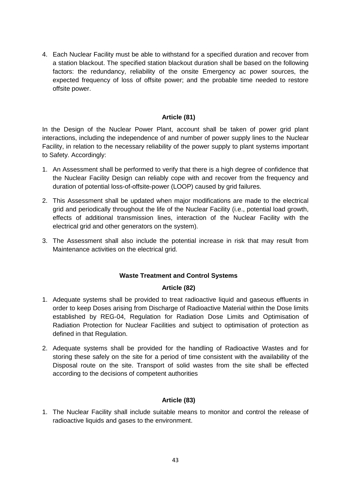4. Each Nuclear Facility must be able to withstand for a specified duration and recover from a station blackout. The specified station blackout duration shall be based on the following factors: the redundancy, reliability of the onsite Emergency ac power sources, the expected frequency of loss of offsite power; and the probable time needed to restore offsite power.

# **Article (81)**

<span id="page-43-0"></span>In the Design of the Nuclear Power Plant, account shall be taken of power grid plant interactions, including the independence of and number of power supply lines to the Nuclear Facility, in relation to the necessary reliability of the power supply to plant systems important to Safety. Accordingly:

- 1. An Assessment shall be performed to verify that there is a high degree of confidence that the Nuclear Facility Design can reliably cope with and recover from the frequency and duration of potential loss-of-offsite-power (LOOP) caused by grid failures.
- 2. This Assessment shall be updated when major modifications are made to the electrical grid and periodically throughout the life of the Nuclear Facility (i.e., potential load growth, effects of additional transmission lines, interaction of the Nuclear Facility with the electrical grid and other generators on the system).
- 3. The Assessment shall also include the potential increase in risk that may result from Maintenance activities on the electrical grid.

# **Waste Treatment and Control Systems**

# **Article (82)**

- <span id="page-43-2"></span><span id="page-43-1"></span>1. Adequate systems shall be provided to treat radioactive liquid and gaseous effluents in order to keep Doses arising from Discharge of Radioactive Material within the Dose limits established by REG-04, Regulation for Radiation Dose Limits and Optimisation of Radiation Protection for Nuclear Facilities and subject to optimisation of protection as defined in that Regulation.
- 2. Adequate systems shall be provided for the handling of Radioactive Wastes and for storing these safely on the site for a period of time consistent with the availability of the Disposal route on the site. Transport of solid wastes from the site shall be effected according to the decisions of competent authorities

# **Article (83)**

<span id="page-43-3"></span>1. The Nuclear Facility shall include suitable means to monitor and control the release of radioactive liquids and gases to the environment.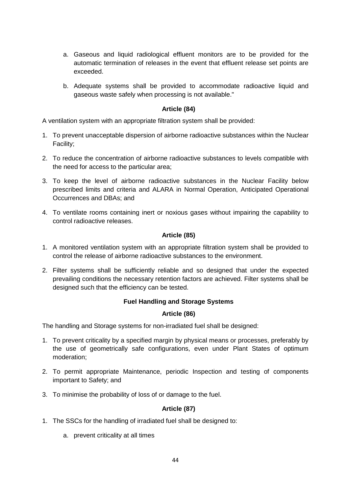- a. Gaseous and liquid radiological effluent monitors are to be provided for the automatic termination of releases in the event that effluent release set points are exceeded.
- b. Adequate systems shall be provided to accommodate radioactive liquid and gaseous waste safely when processing is not available."

# **Article (84)**

<span id="page-44-0"></span>A ventilation system with an appropriate filtration system shall be provided:

- 1. To prevent unacceptable dispersion of airborne radioactive substances within the Nuclear Facility;
- 2. To reduce the concentration of airborne radioactive substances to levels compatible with the need for access to the particular area;
- 3. To keep the level of airborne radioactive substances in the Nuclear Facility below prescribed limits and criteria and ALARA in Normal Operation, Anticipated Operational Occurrences and DBAs; and
- 4. To ventilate rooms containing inert or noxious gases without impairing the capability to control radioactive releases.

# **Article (85)**

- <span id="page-44-1"></span>1. A monitored ventilation system with an appropriate filtration system shall be provided to control the release of airborne radioactive substances to the environment.
- 2. Filter systems shall be sufficiently reliable and so designed that under the expected prevailing conditions the necessary retention factors are achieved. Filter systems shall be designed such that the efficiency can be tested.

# **Fuel Handling and Storage Systems**

# **Article (86)**

<span id="page-44-3"></span><span id="page-44-2"></span>The handling and Storage systems for non-irradiated fuel shall be designed:

- 1. To prevent criticality by a specified margin by physical means or processes, preferably by the use of geometrically safe configurations, even under Plant States of optimum moderation;
- 2. To permit appropriate Maintenance, periodic Inspection and testing of components important to Safety; and
- 3. To minimise the probability of loss of or damage to the fuel.

# **Article (87)**

- <span id="page-44-4"></span>1. The SSCs for the handling of irradiated fuel shall be designed to:
	- a. prevent criticality at all times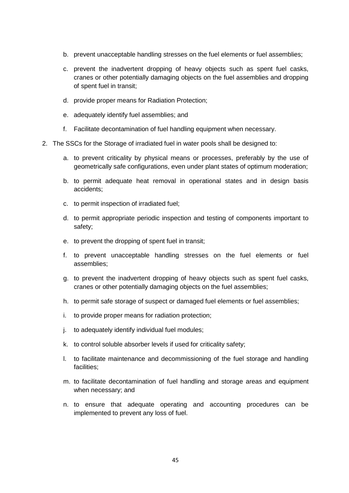- b. prevent unacceptable handling stresses on the fuel elements or fuel assemblies;
- c. prevent the inadvertent dropping of heavy objects such as spent fuel casks, cranes or other potentially damaging objects on the fuel assemblies and dropping of spent fuel in transit;
- d. provide proper means for Radiation Protection;
- e. adequately identify fuel assemblies; and
- f. Facilitate decontamination of fuel handling equipment when necessary.
- 2. The SSCs for the Storage of irradiated fuel in water pools shall be designed to:
	- a. to prevent criticality by physical means or processes, preferably by the use of geometrically safe configurations, even under plant states of optimum moderation;
	- b. to permit adequate heat removal in operational states and in design basis accidents;
	- c. to permit inspection of irradiated fuel;
	- d. to permit appropriate periodic inspection and testing of components important to safety;
	- e. to prevent the dropping of spent fuel in transit;
	- f. to prevent unacceptable handling stresses on the fuel elements or fuel assemblies;
	- g. to prevent the inadvertent dropping of heavy objects such as spent fuel casks, cranes or other potentially damaging objects on the fuel assemblies;
	- h. to permit safe storage of suspect or damaged fuel elements or fuel assemblies;
	- i. to provide proper means for radiation protection;
	- j. to adequately identify individual fuel modules;
	- k. to control soluble absorber levels if used for criticality safety;
	- l. to facilitate maintenance and decommissioning of the fuel storage and handling facilities;
	- m. to facilitate decontamination of fuel handling and storage areas and equipment when necessary; and
	- n. to ensure that adequate operating and accounting procedures can be implemented to prevent any loss of fuel.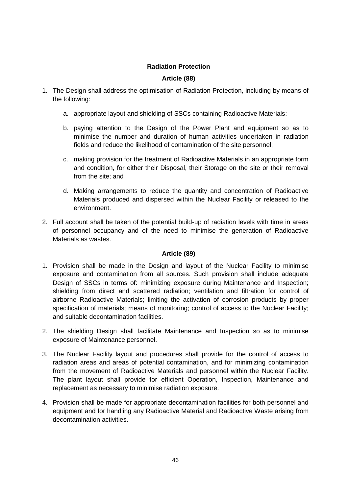# **Radiation Protection**

# **Article (88)**

- <span id="page-46-1"></span><span id="page-46-0"></span>1. The Design shall address the optimisation of Radiation Protection, including by means of the following:
	- a. appropriate layout and shielding of SSCs containing Radioactive Materials;
	- b. paying attention to the Design of the Power Plant and equipment so as to minimise the number and duration of human activities undertaken in radiation fields and reduce the likelihood of contamination of the site personnel;
	- c. making provision for the treatment of Radioactive Materials in an appropriate form and condition, for either their Disposal, their Storage on the site or their removal from the site; and
	- d. Making arrangements to reduce the quantity and concentration of Radioactive Materials produced and dispersed within the Nuclear Facility or released to the environment.
- 2. Full account shall be taken of the potential build-up of radiation levels with time in areas of personnel occupancy and of the need to minimise the generation of Radioactive Materials as wastes.

# **Article (89)**

- <span id="page-46-2"></span>1. Provision shall be made in the Design and layout of the Nuclear Facility to minimise exposure and contamination from all sources. Such provision shall include adequate Design of SSCs in terms of: minimizing exposure during Maintenance and Inspection; shielding from direct and scattered radiation; ventilation and filtration for control of airborne Radioactive Materials; limiting the activation of corrosion products by proper specification of materials; means of monitoring; control of access to the Nuclear Facility; and suitable decontamination facilities.
- 2. The shielding Design shall facilitate Maintenance and Inspection so as to minimise exposure of Maintenance personnel.
- 3. The Nuclear Facility layout and procedures shall provide for the control of access to radiation areas and areas of potential contamination, and for minimizing contamination from the movement of Radioactive Materials and personnel within the Nuclear Facility. The plant layout shall provide for efficient Operation, Inspection, Maintenance and replacement as necessary to minimise radiation exposure.
- 4. Provision shall be made for appropriate decontamination facilities for both personnel and equipment and for handling any Radioactive Material and Radioactive Waste arising from decontamination activities.